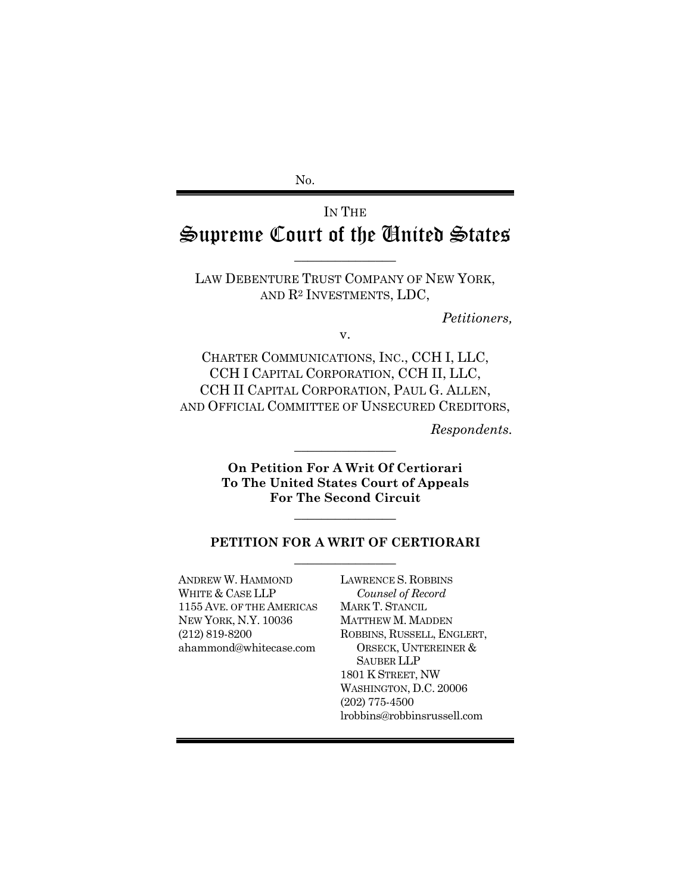No.

# IN THE Supreme Court of the United States

LAW DEBENTURE TRUST COMPANY OF NEW YORK, AND R2 INVESTMENTS, LDC,

 $\overline{\phantom{a}}$  , where  $\overline{\phantom{a}}$ 

*Petitioners,* 

v.

CHARTER COMMUNICATIONS, INC., CCH I, LLC, CCH I CAPITAL CORPORATION, CCH II, LLC, CCH II CAPITAL CORPORATION, PAUL G. ALLEN, AND OFFICIAL COMMITTEE OF UNSECURED CREDITORS,

*Respondents.*

**On Petition For A Writ Of Certiorari To The United States Court of Appeals For The Second Circuit** 

 $\overline{\phantom{a}}$  , where  $\overline{\phantom{a}}$ 

 $\overline{\phantom{a}}$  , where  $\overline{\phantom{a}}$ 

#### **PETITION FOR A WRIT OF CERTIORARI**   $\overline{\phantom{a}}$  , where  $\overline{\phantom{a}}$

ANDREW W. HAMMOND WHITE & CASE LLP 1155 AVE. OF THE AMERICAS NEW YORK, N.Y. 10036 (212) 819-8200 ahammond@whitecase.com

LAWRENCE S. ROBBINS *Counsel of Record* MARK T. STANCIL MATTHEW M. MADDEN ROBBINS, RUSSELL, ENGLERT, ORSECK, UNTEREINER & SAUBER LLP 1801 K STREET, NW WASHINGTON, D.C. 20006 (202) 775-4500 lrobbins@robbinsrussell.com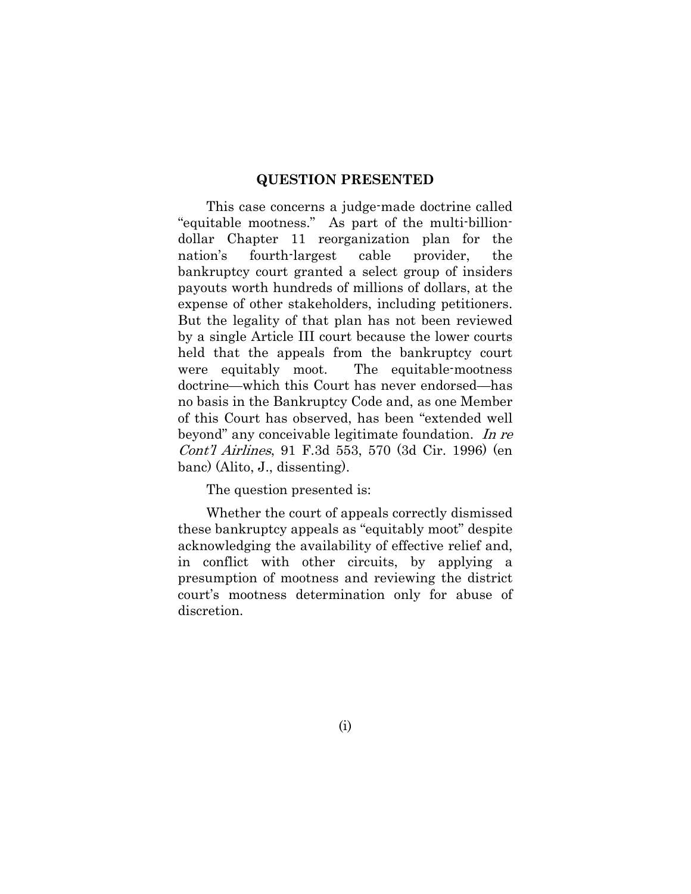#### **QUESTION PRESENTED**

This case concerns a judge-made doctrine called "equitable mootness." As part of the multi-billiondollar Chapter 11 reorganization plan for the nation's fourth-largest cable provider, the bankruptcy court granted a select group of insiders payouts worth hundreds of millions of dollars, at the expense of other stakeholders, including petitioners. But the legality of that plan has not been reviewed by a single Article III court because the lower courts held that the appeals from the bankruptcy court were equitably moot. The equitable-mootness doctrine—which this Court has never endorsed—has no basis in the Bankruptcy Code and, as one Member of this Court has observed, has been "extended well beyond" any conceivable legitimate foundation. In re Cont'l Airlines, 91 F.3d 553, 570 (3d Cir. 1996) (en banc) (Alito, J., dissenting).

The question presented is:

Whether the court of appeals correctly dismissed these bankruptcy appeals as "equitably moot" despite acknowledging the availability of effective relief and, in conflict with other circuits, by applying a presumption of mootness and reviewing the district court's mootness determination only for abuse of discretion.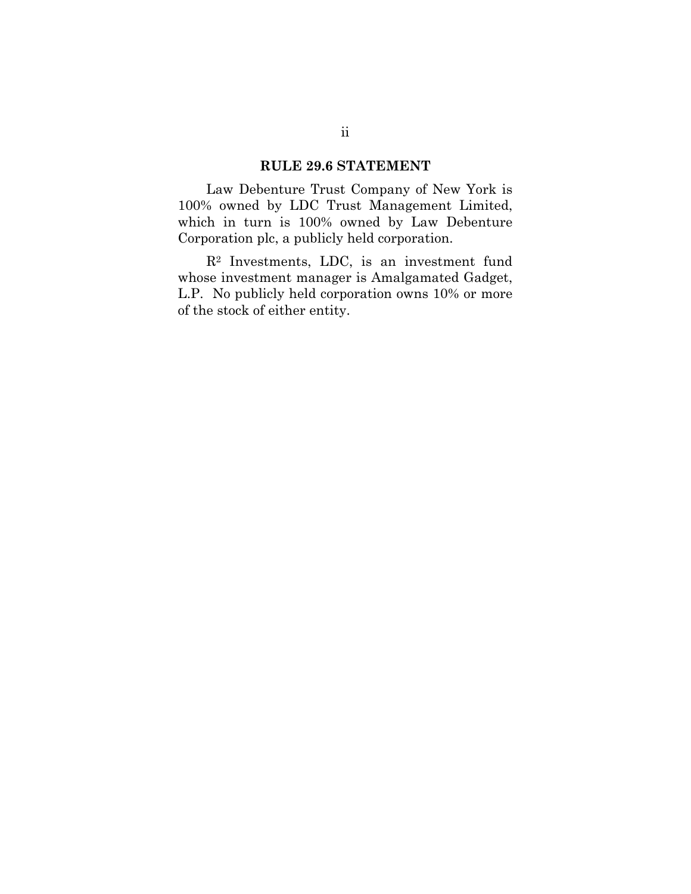#### **RULE 29.6 STATEMENT**

Law Debenture Trust Company of New York is 100% owned by LDC Trust Management Limited, which in turn is 100% owned by Law Debenture Corporation plc, a publicly held corporation.

R2 Investments, LDC, is an investment fund whose investment manager is Amalgamated Gadget, L.P. No publicly held corporation owns 10% or more of the stock of either entity.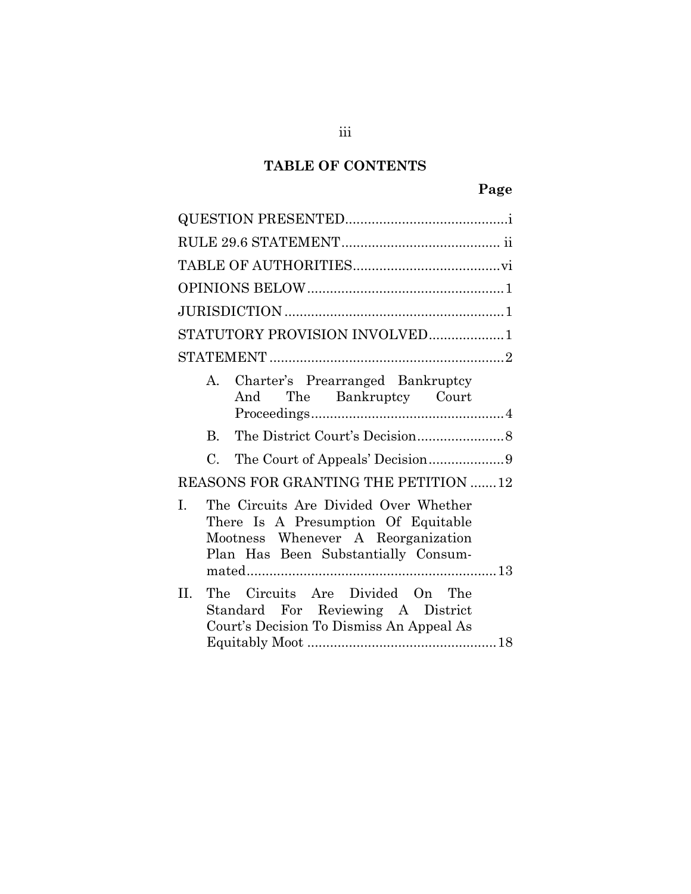# **TABLE OF CONTENTS**

| STATUTORY PROVISION INVOLVED1                                                                                                                                   |
|-----------------------------------------------------------------------------------------------------------------------------------------------------------------|
|                                                                                                                                                                 |
| Charter's Prearranged Bankruptcy<br>$A_{1}$<br>And The Bankruptcy Court                                                                                         |
|                                                                                                                                                                 |
| $\mathbf{B}$                                                                                                                                                    |
| $C_{\cdot}$                                                                                                                                                     |
| REASONS FOR GRANTING THE PETITION 12                                                                                                                            |
| The Circuits Are Divided Over Whether<br>I.<br>There Is A Presumption Of Equitable<br>Mootness Whenever A Reorganization<br>Plan Has Been Substantially Consum- |
| The Circuits Are Divided On The<br>$\Pi$ .<br>Standard For Reviewing A District<br>Court's Decision To Dismiss An Appeal As                                     |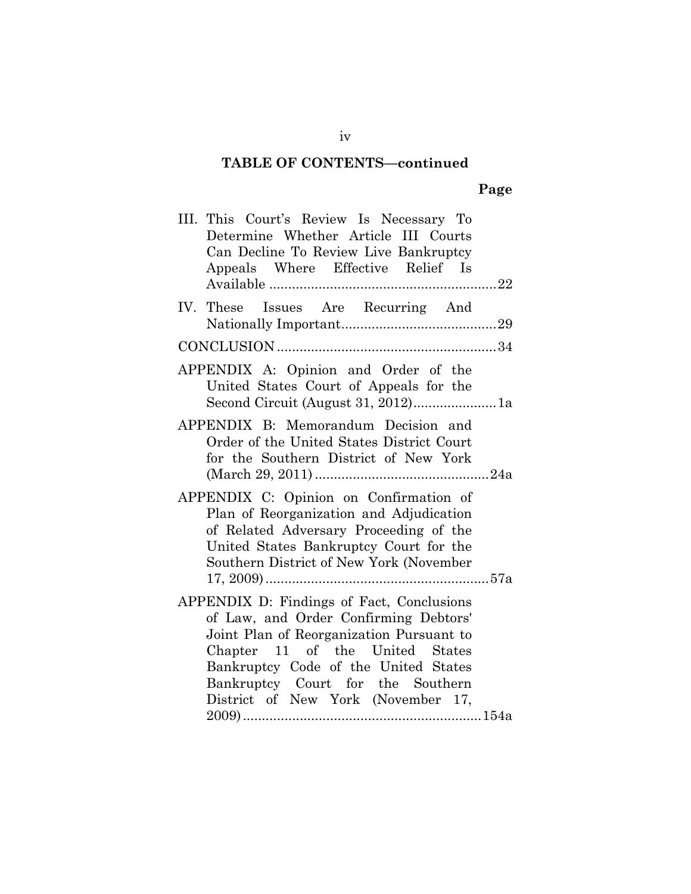### **TABLE OF CONTENTS—continued**

# **Page**

| III. This Court's Review Is Necessary To<br>Determine Whether Article III Courts<br>Can Decline To Review Live Bankruptcy<br>Appeals Where Effective Relief Is                                                                                                                       |
|--------------------------------------------------------------------------------------------------------------------------------------------------------------------------------------------------------------------------------------------------------------------------------------|
|                                                                                                                                                                                                                                                                                      |
| IV. These Issues Are Recurring And                                                                                                                                                                                                                                                   |
|                                                                                                                                                                                                                                                                                      |
| APPENDIX A: Opinion and Order of the<br>United States Court of Appeals for the<br>Second Circuit (August 31, 2012)1a                                                                                                                                                                 |
| APPENDIX B: Memorandum Decision and<br>Order of the United States District Court<br>for the Southern District of New York                                                                                                                                                            |
| APPENDIX C: Opinion on Confirmation of<br>Plan of Reorganization and Adjudication<br>of Related Adversary Proceeding of the<br>United States Bankruptcy Court for the<br>Southern District of New York (November                                                                     |
| APPENDIX D: Findings of Fact, Conclusions<br>of Law, and Order Confirming Debtors'<br>Joint Plan of Reorganization Pursuant to<br>Chapter 11 of the United States<br>Bankruptcy Code of the United States<br>Bankruptcy Court for the Southern<br>District of New York (November 17, |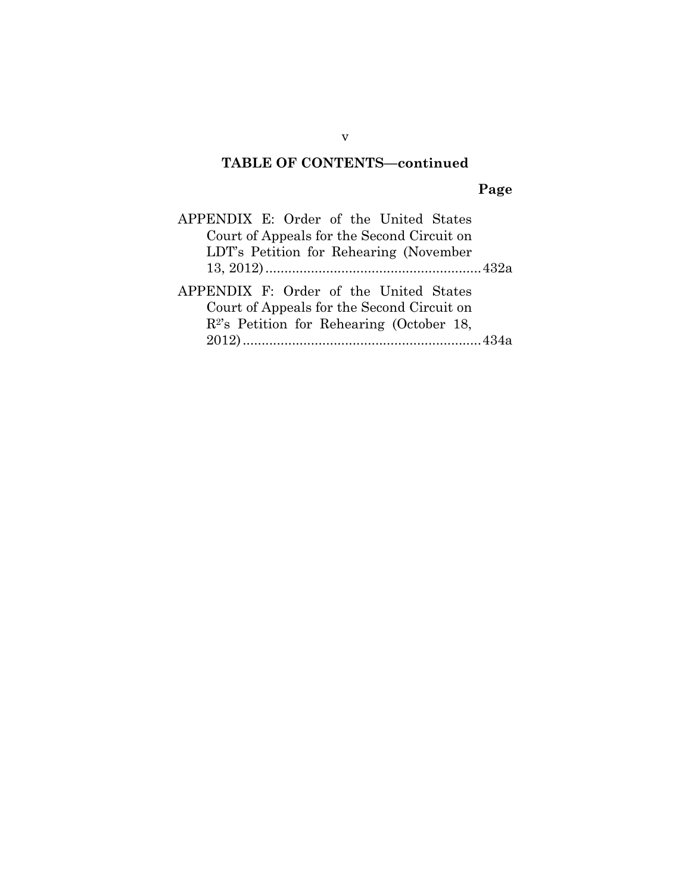### **TABLE OF CONTENTS—continued**

# **Page**

| APPENDIX E: Order of the United States                                                                                               |  |
|--------------------------------------------------------------------------------------------------------------------------------------|--|
| Court of Appeals for the Second Circuit on                                                                                           |  |
| LDT's Petition for Rehearing (November)                                                                                              |  |
|                                                                                                                                      |  |
| APPENDIX F: Order of the United States<br>Court of Appeals for the Second Circuit on<br>$R^2$ 's Petition for Rehearing (October 18, |  |
|                                                                                                                                      |  |

v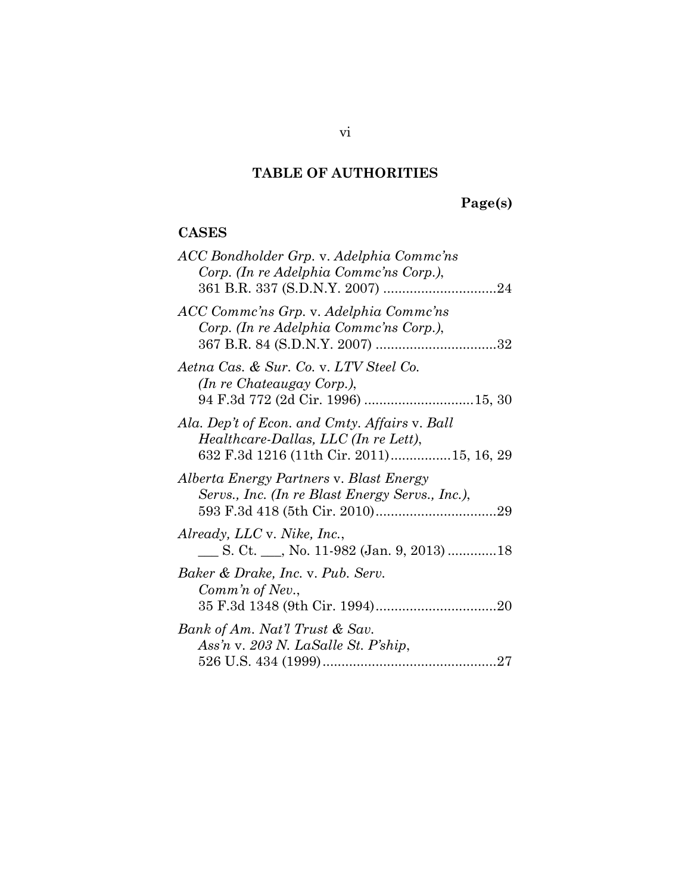## **TABLE OF AUTHORITIES**

# **Page(s)**

### **CASES**

| ACC Bondholder Grp. v. Adelphia Commc'ns<br>Corp. (In re Adelphia Commc'ns Corp.),         |
|--------------------------------------------------------------------------------------------|
| ACC Comme'ns Grp. v. Adelphia Comme'ns<br>Corp. (In re Adelphia Commc'ns Corp.),           |
| Aetna Cas. & Sur. Co. v. LTV Steel Co.<br>(In re Chateaugay Corp.),                        |
| Ala. Dep't of Econ. and Cmty. Affairs v. Ball                                              |
| Healthcare-Dallas, LLC (In re Lett),<br>632 F.3d 1216 (11th Cir. 2011)15, 16, 29           |
| Alberta Energy Partners v. Blast Energy<br>Servs., Inc. (In re Blast Energy Servs., Inc.), |
| Already, LLC v. Nike, Inc.,<br>___ S. Ct. ___, No. 11-982 (Jan. 9, 2013) 18                |
| Baker & Drake, Inc. v. Pub. Serv.<br>Comm'n of Nev.,                                       |
| Bank of Am. Nat'l Trust & Sav.                                                             |
| Ass'n v. 203 N. LaSalle St. P'ship,                                                        |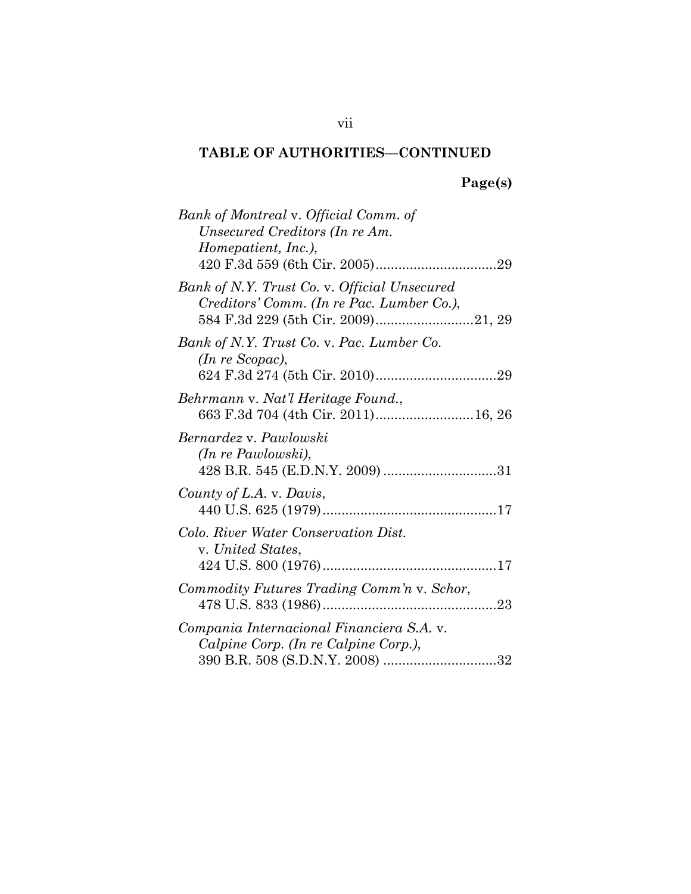# **Page(s)**

| Bank of Montreal v. Official Comm. of<br>Unsecured Creditors (In re Am.<br>Homepatient, Inc.), |
|------------------------------------------------------------------------------------------------|
| Bank of N.Y. Trust Co. v. Official Unsecured<br>Creditors' Comm. (In re Pac. Lumber Co.),      |
| Bank of N.Y. Trust Co. v. Pac. Lumber Co.<br>(In re Scopac),                                   |
| Behrmann v. Nat'l Heritage Found.,<br>663 F.3d 704 (4th Cir. 2011)16, 26                       |
| Bernardez v. Pawlowski<br>(In re Pawlowski),                                                   |
| County of L.A. v. Davis,                                                                       |
| Colo. River Water Conservation Dist.<br>v. United States,                                      |
| Commodity Futures Trading Comm'n v. Schor,                                                     |
| Compania Internacional Financiera S.A. v.<br>Calpine Corp. (In re Calpine Corp.),              |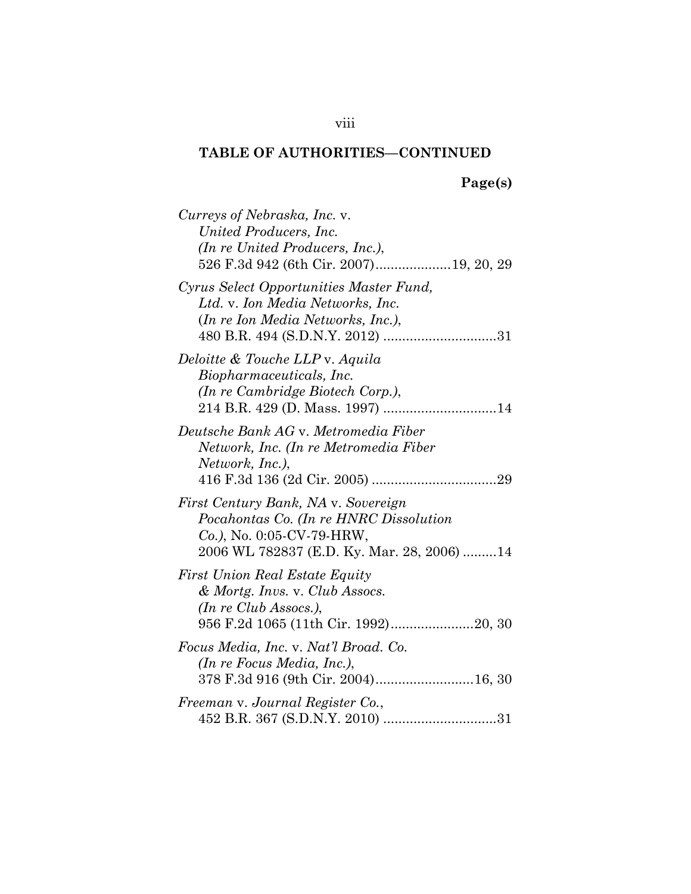# **Page(s)**

| Curreys of Nebraska, Inc. v.<br>United Producers, Inc.<br>(In re United Producers, Inc.),<br>526 F.3d 942 (6th Cir. 2007) 19, 20, 29                        |
|-------------------------------------------------------------------------------------------------------------------------------------------------------------|
| Cyrus Select Opportunities Master Fund,<br>Ltd. v. Ion Media Networks, Inc.<br>(In re Ion Media Networks, Inc.),                                            |
| Deloitte & Touche LLP v. Aquila<br>Biopharmaceuticals, Inc.<br>(In re Cambridge Biotech Corp.),                                                             |
| Deutsche Bank AG v. Metromedia Fiber<br>Network, Inc. (In re Metromedia Fiber<br>Network, Inc.),                                                            |
| First Century Bank, NA v. Sovereign<br>Pocahontas Co. (In re HNRC Dissolution<br>$Co.$ ), No. 0:05-CV-79-HRW,<br>2006 WL 782837 (E.D. Ky. Mar. 28, 2006) 14 |
| <b>First Union Real Estate Equity</b><br>& Mortg. Invs. v. Club Assocs.<br>(In re Club Assocs.),                                                            |
| Focus Media, Inc. v. Nat'l Broad. Co.<br>(In re Focus Media, Inc.),<br>378 F.3d 916 (9th Cir. 2004)16, 30                                                   |
| Freeman v. Journal Register Co.,                                                                                                                            |

### viii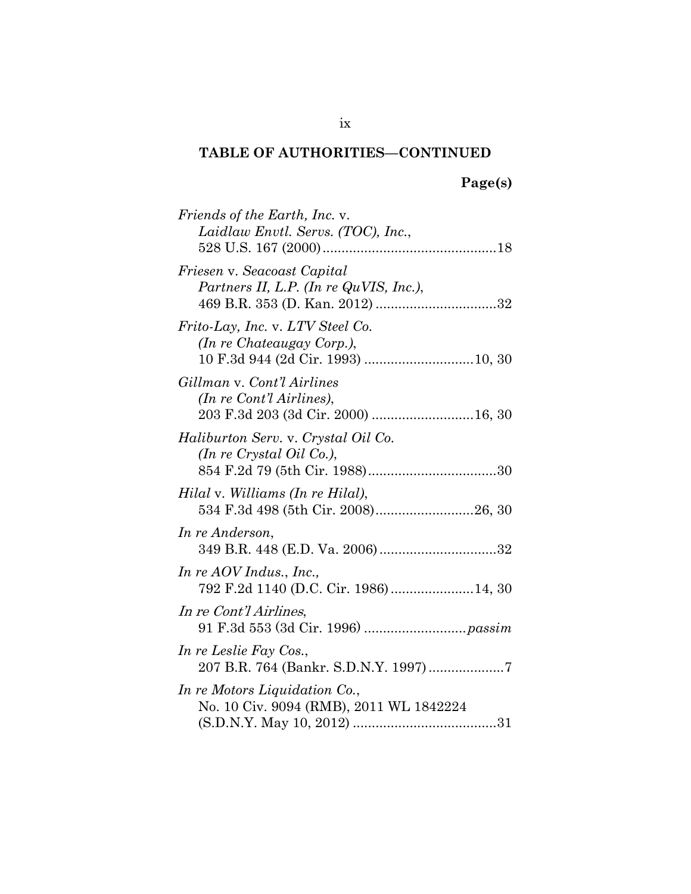# **Page(s)**

| Friends of the Earth, Inc. v.<br>Laidlaw Envtl. Servs. (TOC), Inc.,                           |
|-----------------------------------------------------------------------------------------------|
| Friesen v. Seacoast Capital<br>Partners II, L.P. (In re QuVIS, Inc.),                         |
| Frito-Lay, Inc. v. LTV Steel Co.<br><i>(In re Chateaugay Corp.),</i>                          |
| Gillman v. Cont'l Airlines<br>(In re Cont'l Airlines),<br>203 F.3d 203 (3d Cir. 2000)  16, 30 |
| Haliburton Serv. v. Crystal Oil Co.<br>(In re Crystal Oil Co.),                               |
| Hilal v. Williams (In re Hilal),                                                              |
| In re Anderson,                                                                               |
| In re AOV Indus., Inc.,<br>792 F.2d 1140 (D.C. Cir. 1986) 14, 30                              |
| In re Cont'l Airlines,                                                                        |
| In re Leslie Fay Cos.,<br>207 B.R. 764 (Bankr. S.D.N.Y. 1997)7                                |
| In re Motors Liquidation Co.,<br>No. 10 Civ. 9094 (RMB), 2011 WL 1842224                      |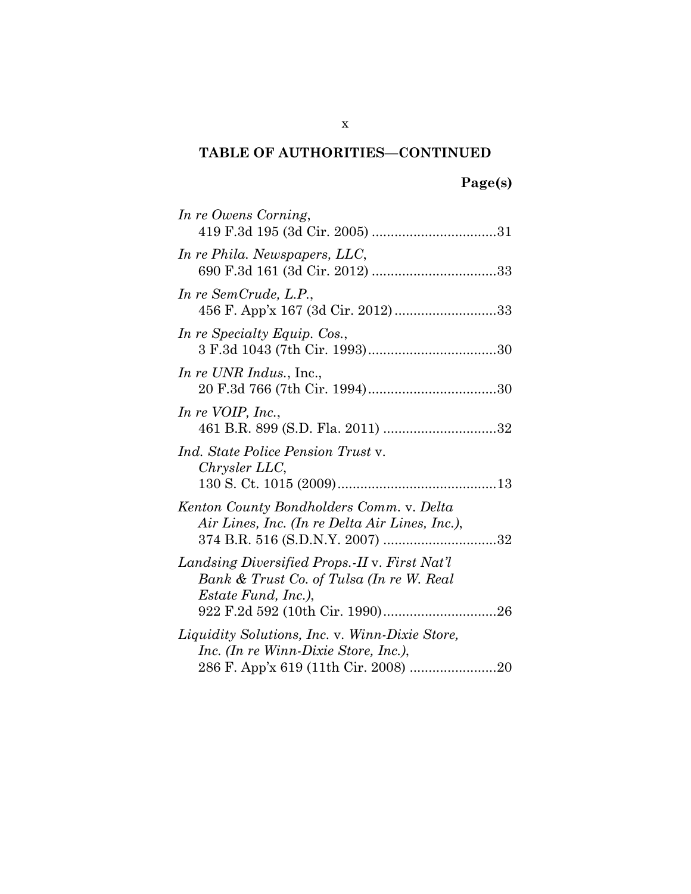| In re Owens Corning,                                                                                                    |
|-------------------------------------------------------------------------------------------------------------------------|
| In re Phila. Newspapers, LLC,                                                                                           |
| In re SemCrude, L.P.,<br>456 F. App'x 167 (3d Cir. 2012) 33                                                             |
| In re Specialty Equip. Cos.,                                                                                            |
| <i>In re UNR Indus.</i> , Inc.,                                                                                         |
| In re VOIP, Inc.,                                                                                                       |
| Ind. State Police Pension Trust v.<br>Chrysler LLC,                                                                     |
| Kenton County Bondholders Comm. v. Delta<br>Air Lines, Inc. (In re Delta Air Lines, Inc.),                              |
| Landsing Diversified Props. II v. First Nat'l<br>Bank & Trust Co. of Tulsa (In re W. Real<br><i>Estate Fund, Inc.),</i> |
| Liquidity Solutions, Inc. v. Winn-Dixie Store,<br>Inc. (In re Winn-Dixie Store, Inc.),                                  |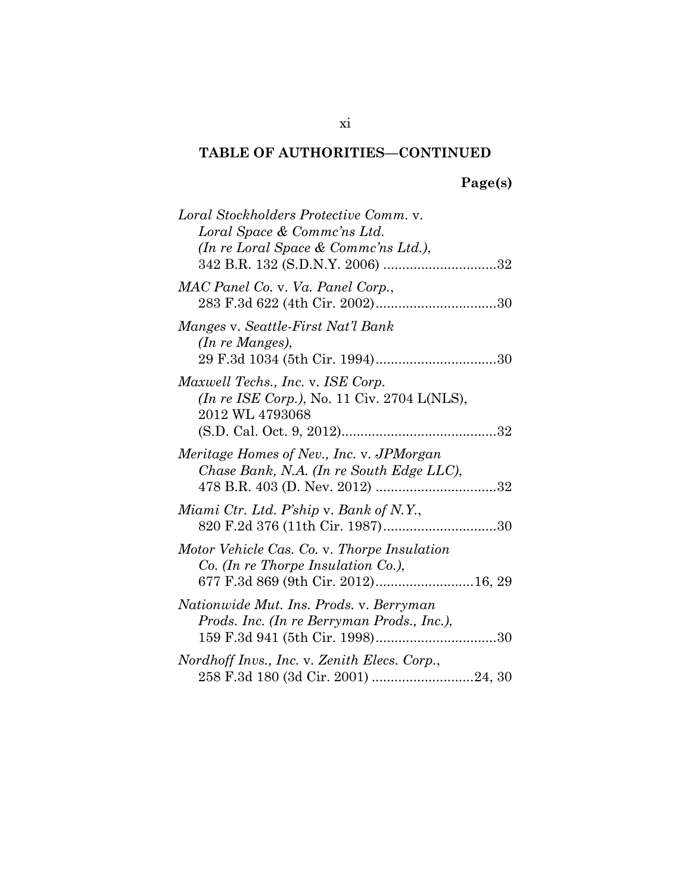# **Page(s)**

| Loral Stockholders Protective Comm. v.<br>Loral Space & Commc'ns Ltd.<br>(In re Loral Space & Commc'ns Ltd.),                 |
|-------------------------------------------------------------------------------------------------------------------------------|
|                                                                                                                               |
| MAC Panel Co. v. Va. Panel Corp.,                                                                                             |
| Manges v. Seattle-First Nat'l Bank<br>(In re Manges),                                                                         |
| Maxwell Techs., Inc. v. ISE Corp.<br>(In re ISE Corp.), No. 11 Civ. 2704 L(NLS),<br>2012 WL 4793068                           |
| Meritage Homes of Nev., Inc. v. JPMorgan<br>Chase Bank, N.A. (In re South Edge LLC),                                          |
| Miami Ctr. Ltd. P'ship v. Bank of N.Y.,                                                                                       |
| Motor Vehicle Cas. Co. v. Thorpe Insulation<br>$Co.$ (In re Thorpe Insulation $Co.$ ),<br>677 F.3d 869 (9th Cir. 2012) 16, 29 |
| Nationwide Mut. Ins. Prods. v. Berryman<br>Prods. Inc. (In re Berryman Prods., Inc.),                                         |
| Nordhoff Invs., Inc. v. Zenith Elecs. Corp.,                                                                                  |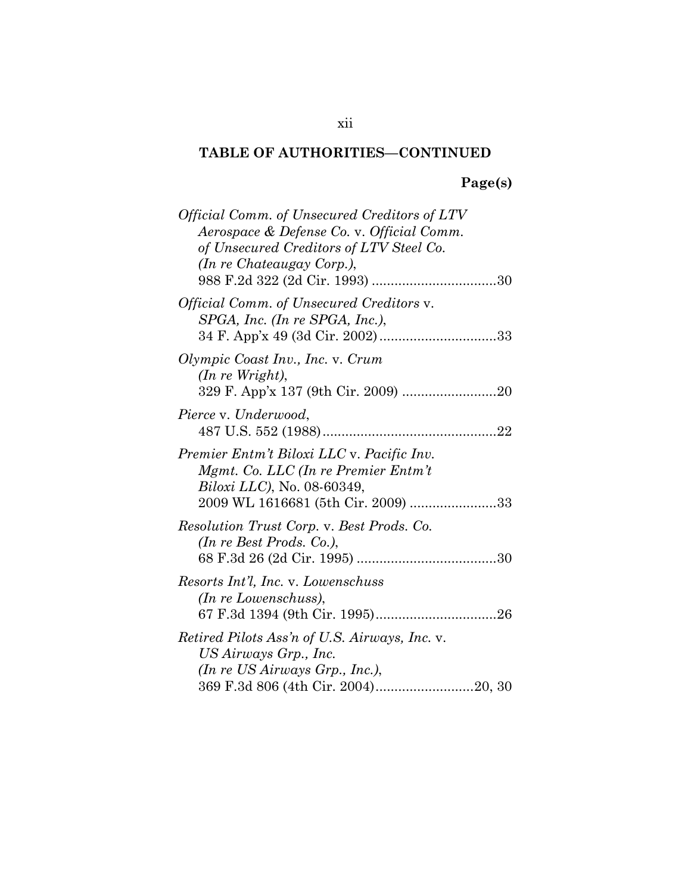# **Page(s)**

| <i>Official Comm. of Unsecured Creditors of LTV</i><br>Aerospace & Defense Co. v. Official Comm.<br>of Unsecured Creditors of LTV Steel Co.<br>(In re Chateaugay Corp.), |
|--------------------------------------------------------------------------------------------------------------------------------------------------------------------------|
| <i>Official Comm. of Unsecured Creditors v.</i><br>$SPGA$ , Inc. (In re SPGA, Inc.),                                                                                     |
| Olympic Coast Inv., Inc. v. Crum<br>$(In \, re \, Wright),$                                                                                                              |
| Pierce v. Underwood,                                                                                                                                                     |
| Premier Entm't Biloxi LLC v. Pacific Inv.<br>Mgmt. Co. LLC (In re Premier Entm't<br><i>Biloxi LLC</i> ), No. 08-60349,<br>2009 WL 1616681 (5th Cir. 2009) 33             |
| Resolution Trust Corp. v. Best Prods. Co.<br>$(In \, \mathit{re} \, \mathit{Best} \, \mathit{Prods}. \; Co.),$                                                           |
| Resorts Int'l, Inc. v. Lowenschuss<br>(In re Lowenschuss),                                                                                                               |
| <i>Retired Pilots Ass'n of U.S. Airways, Inc. v.</i><br>US Airways Grp., Inc.<br>(In re US Airways Grp., Inc.),<br>369 F.3d 806 (4th Cir. 2004)20, 30                    |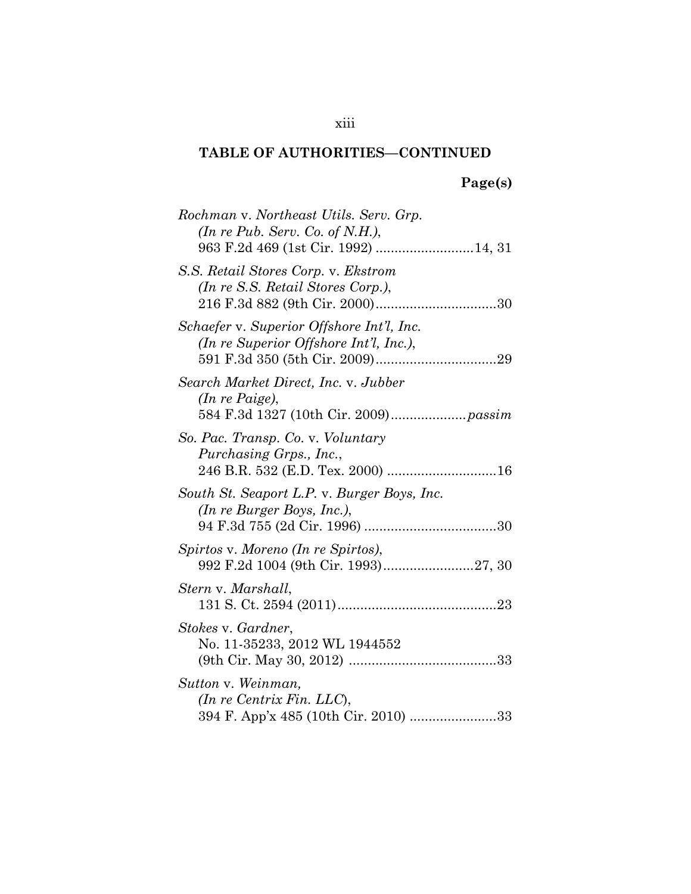# **Page(s)**

| Rochman v. Northeast Utils. Serv. Grp.<br>(In re Pub. Serv. Co. of N.H.),                             |
|-------------------------------------------------------------------------------------------------------|
| S.S. Retail Stores Corp. v. Ekstrom<br>(In re S.S. Retail Stores Corp.),                              |
| Schaefer v. Superior Offshore Int'l, Inc.<br>(In re Superior Offshore Int'l, Inc.),                   |
| Search Market Direct, Inc. v. Jubber<br>$(In re \, \textit{Paige}),$                                  |
| So. Pac. Transp. Co. v. Voluntary<br>Purchasing Grps., Inc.,                                          |
| South St. Seaport L.P. v. Burger Boys, Inc.<br>(In re Burger Boys, Inc.),                             |
| Spirtos v. Moreno (In re Spirtos),<br>992 F.2d 1004 (9th Cir. 1993)27, 30                             |
| Stern v. Marshall,                                                                                    |
| Stokes v. Gardner,<br>No. 11-35233, 2012 WL 1944552                                                   |
| Sutton v. Weinman,<br>$(In \, re \, Centrix \, Fin. \, LLC),$<br>394 F. App'x 485 (10th Cir. 2010) 33 |

### xiii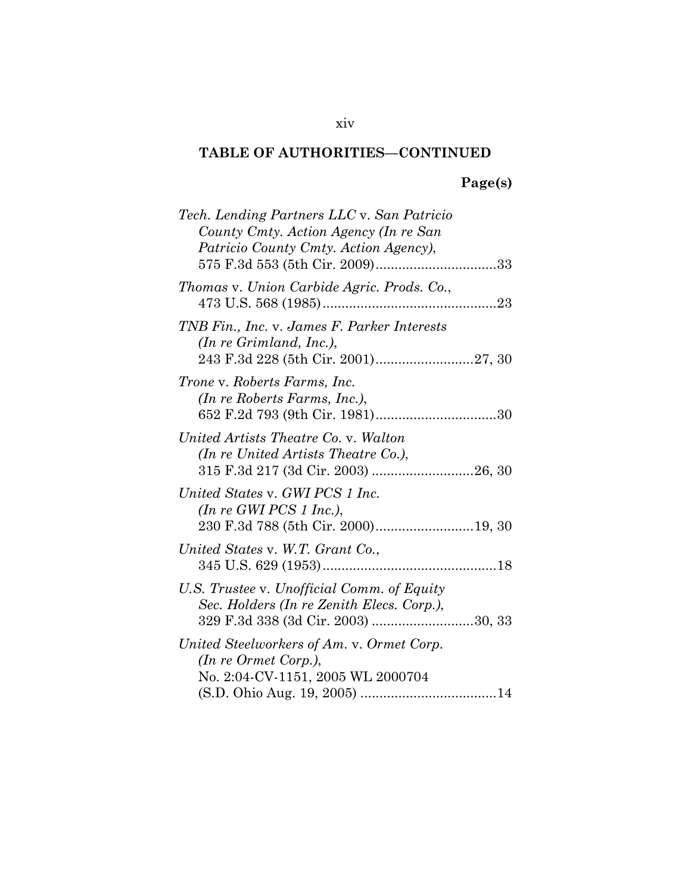# **Page(s)**

| Tech. Lending Partners LLC v. San Patricio<br>County Cmty. Action Agency (In re San<br>Patricio County Cmty. Action Agency), |
|------------------------------------------------------------------------------------------------------------------------------|
| Thomas v. Union Carbide Agric. Prods. Co.,<br>473 U.S. 568 (1985)<br>23                                                      |
| TNB Fin., Inc. v. James F. Parker Interests<br>(In reGrimland, Inc.),                                                        |
| Trone v. Roberts Farms, Inc.<br>(In re Roberts Farms, Inc.),                                                                 |
| United Artists Theatre Co. v. Walton<br>(In re United Artists Theatre Co.),<br>315 F.3d 217 (3d Cir. 2003) 26, 30            |
| United States v. GWI PCS 1 Inc.<br>(In re GWI PCS 1 Inc.),<br>230 F.3d 788 (5th Cir. 2000)19, 30                             |
| United States v. W.T. Grant Co.,                                                                                             |
| U.S. Trustee v. Unofficial Comm. of Equity<br>Sec. Holders (In re Zenith Elecs. Corp.),                                      |
| United Steelworkers of Am. v. Ormet Corp.<br>(In re Ormet Corp.),<br>No. 2:04-CV-1151, 2005 WL 2000704                       |

#### xiv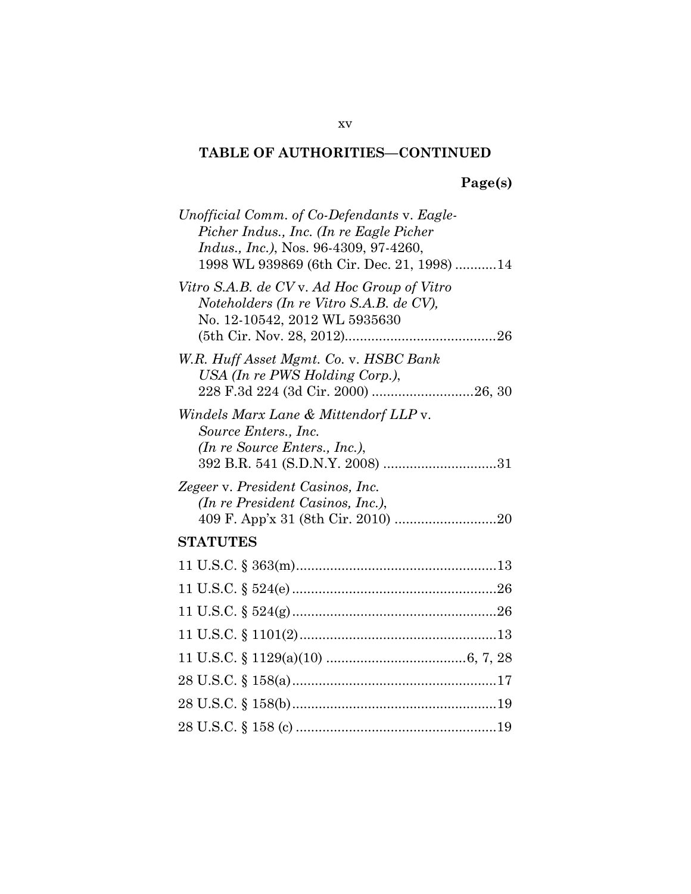# **Page(s)**

| Unofficial Comm. of Co-Defendants v. Eagle-<br>Picher Indus., Inc. (In re Eagle Picher<br><i>Indus., Inc.)</i> , Nos. 96-4309, 97-4260,<br>1998 WL 939869 (6th Cir. Dec. 21, 1998)14 |
|--------------------------------------------------------------------------------------------------------------------------------------------------------------------------------------|
| Vitro S.A.B. de CV v. Ad Hoc Group of Vitro<br>Noteholders (In re Vitro S.A.B. de CV),<br>No. 12-10542, 2012 WL 5935630                                                              |
| W.R. Huff Asset Mgmt. Co. v. HSBC Bank<br>USA (In re PWS Holding Corp.),                                                                                                             |
| Windels Marx Lane & Mittendorf LLP v.<br>Source Enters., Inc.<br>(In re Source Enters., Inc.),                                                                                       |
| Zegeer v. President Casinos, Inc.<br>(In re President Casinos, Inc.),                                                                                                                |
| <b>STATUTES</b>                                                                                                                                                                      |
|                                                                                                                                                                                      |
|                                                                                                                                                                                      |
|                                                                                                                                                                                      |
|                                                                                                                                                                                      |
|                                                                                                                                                                                      |
|                                                                                                                                                                                      |
|                                                                                                                                                                                      |
|                                                                                                                                                                                      |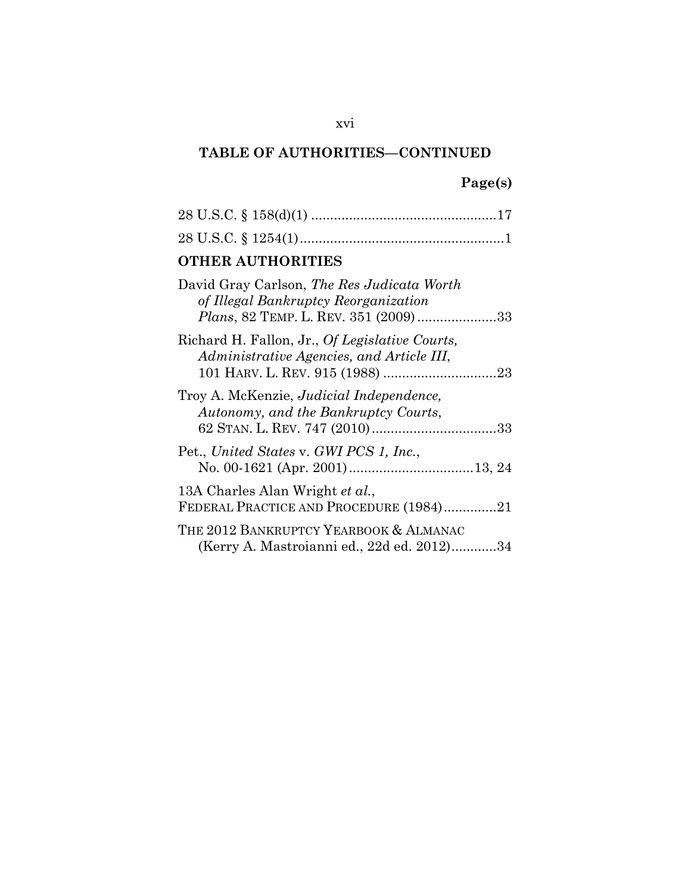# **Page(s)**

| <b>OTHER AUTHORITIES</b>                                                                                                            |
|-------------------------------------------------------------------------------------------------------------------------------------|
| David Gray Carlson, The Res Judicata Worth<br>of Illegal Bankruptcy Reorganization<br><i>Plans</i> , 82 TEMP. L. REV. 351 (2009) 33 |
| Richard H. Fallon, Jr., Of Legislative Courts,<br>Administrative Agencies, and Article III,                                         |
| Troy A. McKenzie, Judicial Independence,<br>Autonomy, and the Bankruptcy Courts,                                                    |
| Pet., United States v. GWI PCS 1, Inc.,                                                                                             |
| 13A Charles Alan Wright et al.,<br>FEDERAL PRACTICE AND PROCEDURE (1984)21                                                          |
| THE 2012 BANKRUPTCY YEARBOOK & ALMANAC<br>(Kerry A. Mastroianni ed., 22d ed. 2012)34                                                |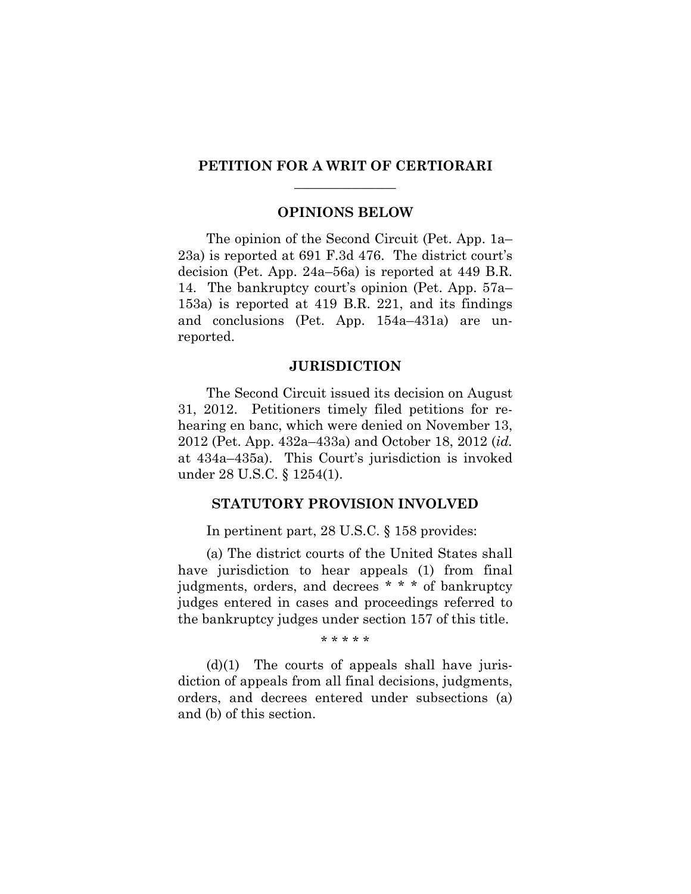#### **PETITION FOR A WRIT OF CERTIORARI**   $\overline{\phantom{a}}$  , where  $\overline{\phantom{a}}$

#### **OPINIONS BELOW**

The opinion of the Second Circuit (Pet. App. 1a– 23a) is reported at 691 F.3d 476. The district court's decision (Pet. App. 24a–56a) is reported at 449 B.R. 14. The bankruptcy court's opinion (Pet. App. 57a– 153a) is reported at 419 B.R. 221, and its findings and conclusions (Pet. App. 154a–431a) are unreported.

#### **JURISDICTION**

The Second Circuit issued its decision on August 31, 2012. Petitioners timely filed petitions for rehearing en banc, which were denied on November 13, 2012 (Pet. App. 432a–433a) and October 18, 2012 (*id.* at 434a–435a). This Court's jurisdiction is invoked under 28 U.S.C. § 1254(1).

#### **STATUTORY PROVISION INVOLVED**

In pertinent part, 28 U.S.C. § 158 provides:

(a) The district courts of the United States shall have jurisdiction to hear appeals (1) from final judgments, orders, and decrees \* \* \* of bankruptcy judges entered in cases and proceedings referred to the bankruptcy judges under section 157 of this title.

\* \* \* \* \*

 $(d)(1)$  The courts of appeals shall have jurisdiction of appeals from all final decisions, judgments, orders, and decrees entered under subsections (a) and (b) of this section.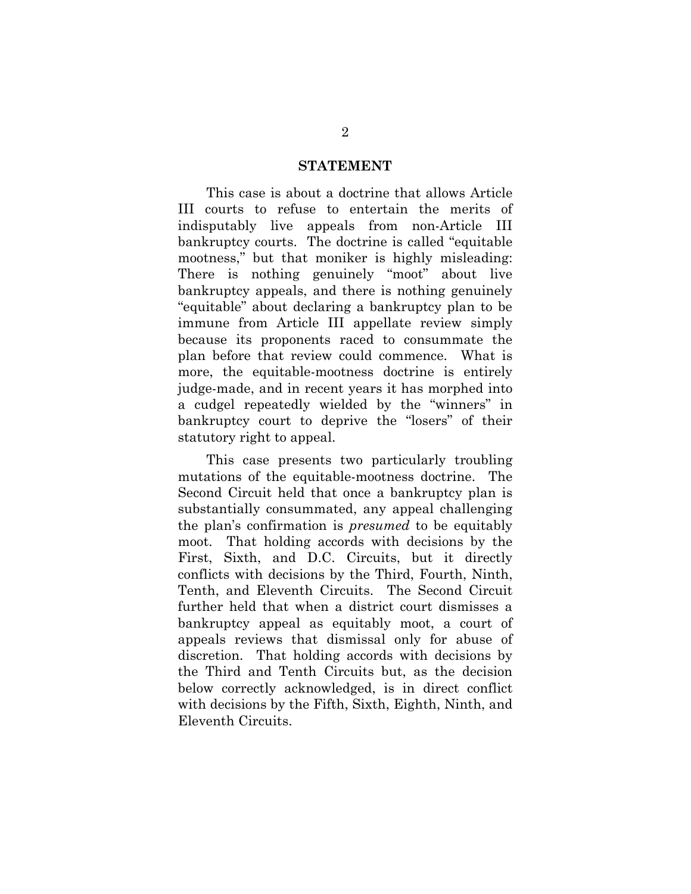#### **STATEMENT**

This case is about a doctrine that allows Article III courts to refuse to entertain the merits of indisputably live appeals from non-Article III bankruptcy courts. The doctrine is called "equitable mootness," but that moniker is highly misleading: There is nothing genuinely "moot" about live bankruptcy appeals, and there is nothing genuinely "equitable" about declaring a bankruptcy plan to be immune from Article III appellate review simply because its proponents raced to consummate the plan before that review could commence. What is more, the equitable-mootness doctrine is entirely judge-made, and in recent years it has morphed into a cudgel repeatedly wielded by the "winners" in bankruptcy court to deprive the "losers" of their statutory right to appeal.

This case presents two particularly troubling mutations of the equitable-mootness doctrine. The Second Circuit held that once a bankruptcy plan is substantially consummated, any appeal challenging the plan's confirmation is *presumed* to be equitably moot. That holding accords with decisions by the First, Sixth, and D.C. Circuits, but it directly conflicts with decisions by the Third, Fourth, Ninth, Tenth, and Eleventh Circuits. The Second Circuit further held that when a district court dismisses a bankruptcy appeal as equitably moot, a court of appeals reviews that dismissal only for abuse of discretion. That holding accords with decisions by the Third and Tenth Circuits but, as the decision below correctly acknowledged, is in direct conflict with decisions by the Fifth, Sixth, Eighth, Ninth, and Eleventh Circuits.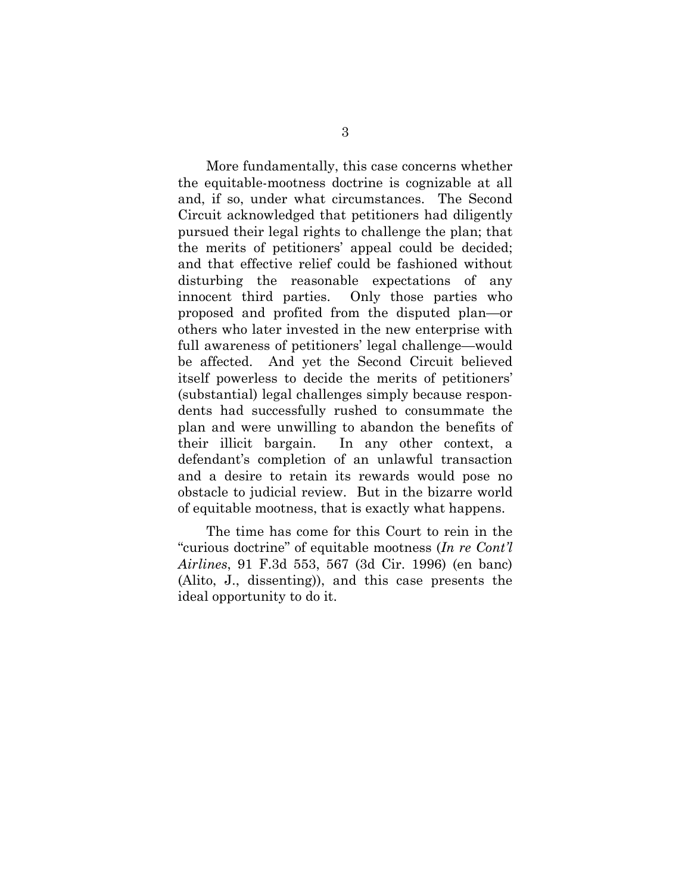More fundamentally, this case concerns whether the equitable-mootness doctrine is cognizable at all and, if so, under what circumstances. The Second Circuit acknowledged that petitioners had diligently pursued their legal rights to challenge the plan; that the merits of petitioners' appeal could be decided; and that effective relief could be fashioned without disturbing the reasonable expectations of any innocent third parties. Only those parties who proposed and profited from the disputed plan—or others who later invested in the new enterprise with full awareness of petitioners' legal challenge—would be affected. And yet the Second Circuit believed itself powerless to decide the merits of petitioners' (substantial) legal challenges simply because respondents had successfully rushed to consummate the plan and were unwilling to abandon the benefits of their illicit bargain. In any other context, a defendant's completion of an unlawful transaction and a desire to retain its rewards would pose no obstacle to judicial review. But in the bizarre world of equitable mootness, that is exactly what happens.

The time has come for this Court to rein in the "curious doctrine" of equitable mootness (*In re Cont'l Airlines*, 91 F.3d 553, 567 (3d Cir. 1996) (en banc) (Alito, J., dissenting)), and this case presents the ideal opportunity to do it.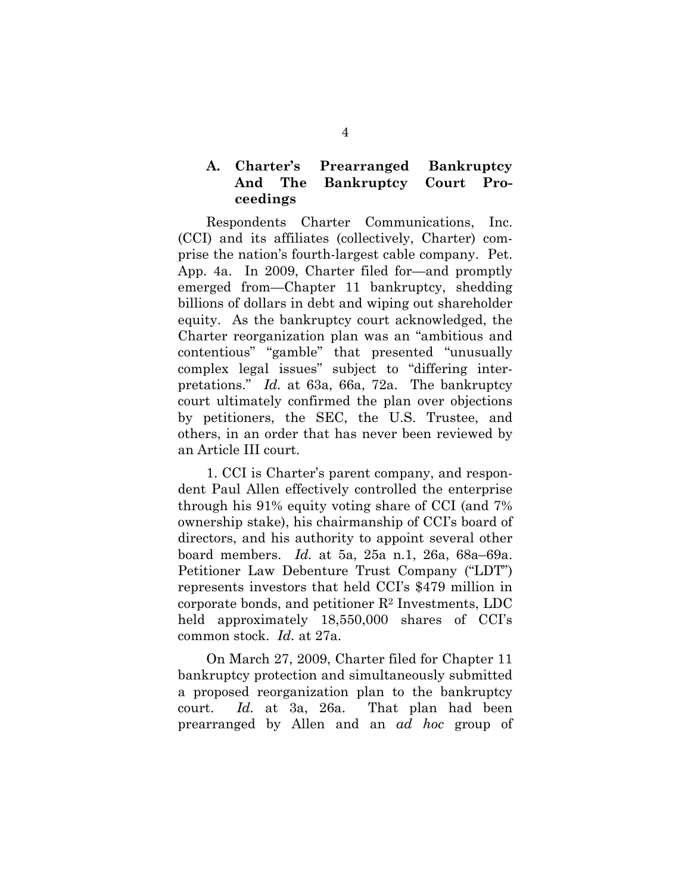#### **A. Charter's Prearranged Bankruptcy And The Bankruptcy Court Proceedings**

Respondents Charter Communications, Inc. (CCI) and its affiliates (collectively, Charter) comprise the nation's fourth-largest cable company. Pet. App. 4a. In 2009, Charter filed for—and promptly emerged from—Chapter 11 bankruptcy, shedding billions of dollars in debt and wiping out shareholder equity. As the bankruptcy court acknowledged, the Charter reorganization plan was an "ambitious and contentious" "gamble" that presented "unusually complex legal issues" subject to "differing interpretations." *Id.* at 63a, 66a, 72a. The bankruptcy court ultimately confirmed the plan over objections by petitioners, the SEC, the U.S. Trustee, and others, in an order that has never been reviewed by an Article III court.

1. CCI is Charter's parent company, and respondent Paul Allen effectively controlled the enterprise through his 91% equity voting share of CCI (and 7% ownership stake), his chairmanship of CCI's board of directors, and his authority to appoint several other board members. *Id.* at 5a, 25a n.1, 26a, 68a–69a. Petitioner Law Debenture Trust Company ("LDT") represents investors that held CCI's \$479 million in corporate bonds, and petitioner  $\mathbb{R}^2$  Investments, LDC held approximately 18,550,000 shares of CCI's common stock. *Id.* at 27a.

On March 27, 2009, Charter filed for Chapter 11 bankruptcy protection and simultaneously submitted a proposed reorganization plan to the bankruptcy court. *Id.* at 3a, 26a. That plan had been prearranged by Allen and an *ad hoc* group of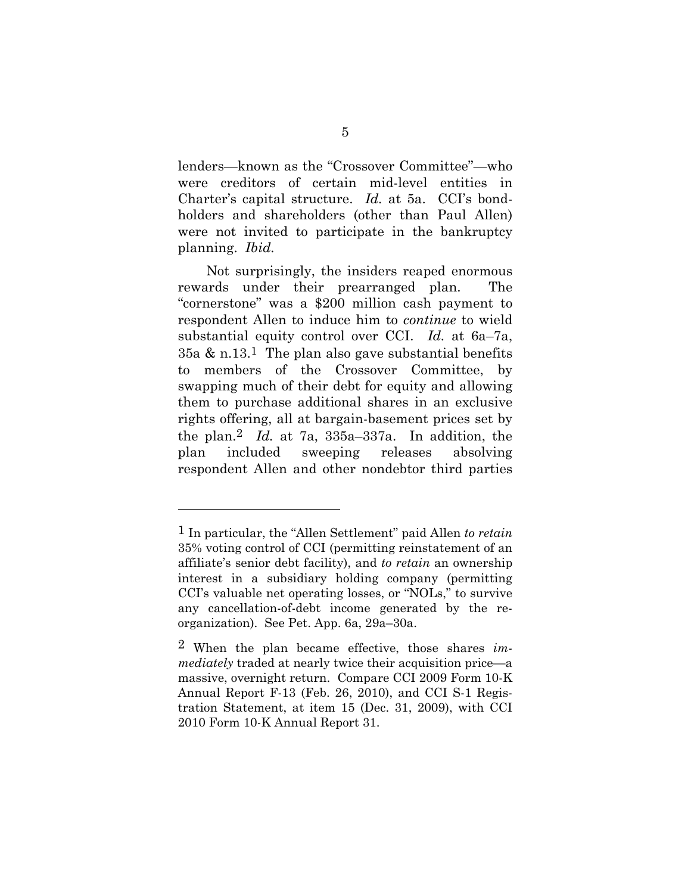lenders—known as the "Crossover Committee"—who were creditors of certain mid-level entities in Charter's capital structure. *Id.* at 5a. CCI's bondholders and shareholders (other than Paul Allen) were not invited to participate in the bankruptcy planning. *Ibid.*

Not surprisingly, the insiders reaped enormous rewards under their prearranged plan. The "cornerstone" was a \$200 million cash payment to respondent Allen to induce him to *continue* to wield substantial equity control over CCI. *Id.* at 6a–7a, 35a & n.13.<sup>1</sup> The plan also gave substantial benefits to members of the Crossover Committee, by swapping much of their debt for equity and allowing them to purchase additional shares in an exclusive rights offering, all at bargain-basement prices set by the plan.2 *Id.* at 7a, 335a–337a. In addition, the plan included sweeping releases absolving respondent Allen and other nondebtor third parties

<sup>1</sup> In particular, the "Allen Settlement" paid Allen *to retain* 35% voting control of CCI (permitting reinstatement of an affiliate's senior debt facility), and *to retain* an ownership interest in a subsidiary holding company (permitting CCI's valuable net operating losses, or "NOLs," to survive any cancellation-of-debt income generated by the reorganization). See Pet. App. 6a, 29a–30a.

<sup>2</sup> When the plan became effective, those shares *immediately* traded at nearly twice their acquisition price—a massive, overnight return. Compare CCI 2009 Form 10-K Annual Report F-13 (Feb. 26, 2010), and CCI S-1 Registration Statement, at item 15 (Dec. 31, 2009), with CCI 2010 Form 10-K Annual Report 31.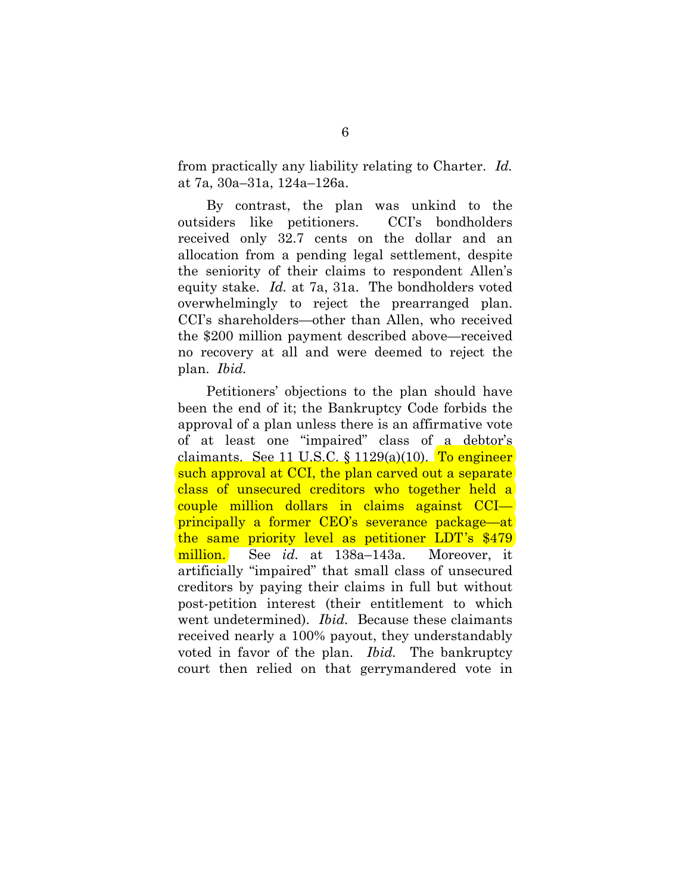from practically any liability relating to Charter. *Id.* at 7a, 30a–31a, 124a–126a.

By contrast, the plan was unkind to the outsiders like petitioners. CCI's bondholders received only 32.7 cents on the dollar and an allocation from a pending legal settlement, despite the seniority of their claims to respondent Allen's equity stake. *Id.* at 7a, 31a. The bondholders voted overwhelmingly to reject the prearranged plan. CCI's shareholders—other than Allen, who received the \$200 million payment described above—received no recovery at all and were deemed to reject the plan. *Ibid.*

Petitioners' objections to the plan should have been the end of it; the Bankruptcy Code forbids the approval of a plan unless there is an affirmative vote of at least one "impaired" class of a debtor's claimants. See 11 U.S.C.  $\S$  1129(a)(10). To engineer such approval at CCI, the plan carved out a separate class of unsecured creditors who together held a couple million dollars in claims against CCI principally a former CEO's severance package—at the same priority level as petitioner LDT's \$479 million. See *id.* at 138a–143a. Moreover, it artificially "impaired" that small class of unsecured creditors by paying their claims in full but without post-petition interest (their entitlement to which went undetermined). *Ibid.* Because these claimants received nearly a 100% payout, they understandably voted in favor of the plan. *Ibid.* The bankruptcy court then relied on that gerrymandered vote in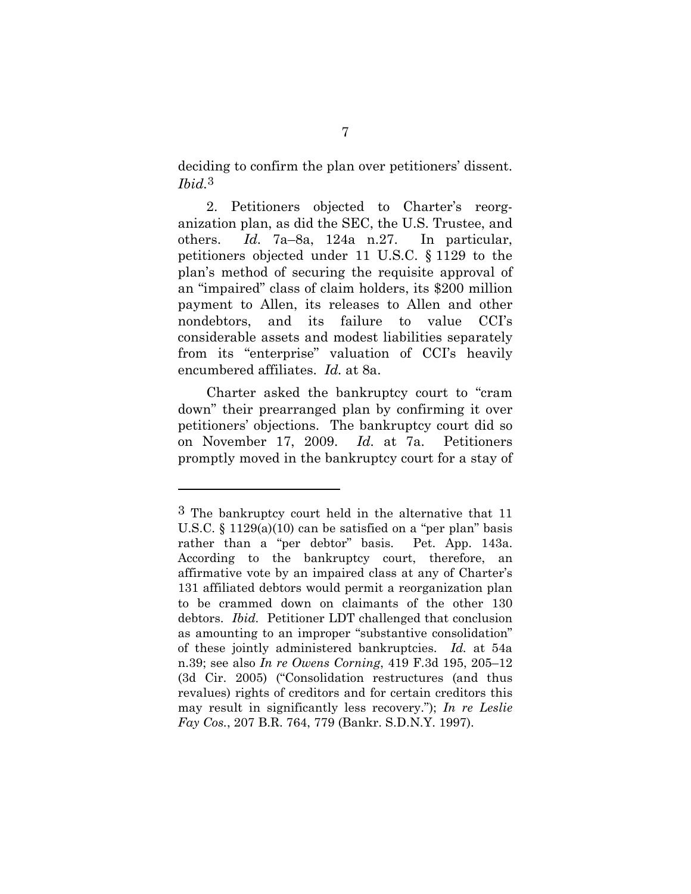deciding to confirm the plan over petitioners' dissent. *Ibid.*3

2. Petitioners objected to Charter's reorganization plan, as did the SEC, the U.S. Trustee, and others. *Id.* 7a–8a, 124a n.27. In particular, petitioners objected under 11 U.S.C. § 1129 to the plan's method of securing the requisite approval of an "impaired" class of claim holders, its \$200 million payment to Allen, its releases to Allen and other nondebtors, and its failure to value CCI's considerable assets and modest liabilities separately from its "enterprise" valuation of CCI's heavily encumbered affiliates. *Id.* at 8a.

Charter asked the bankruptcy court to "cram down" their prearranged plan by confirming it over petitioners' objections. The bankruptcy court did so on November 17, 2009. *Id.* at 7a. Petitioners promptly moved in the bankruptcy court for a stay of

<sup>3</sup> The bankruptcy court held in the alternative that 11 U.S.C. § 1129(a)(10) can be satisfied on a "per plan" basis rather than a "per debtor" basis. Pet. App. 143a. According to the bankruptcy court, therefore, an affirmative vote by an impaired class at any of Charter's 131 affiliated debtors would permit a reorganization plan to be crammed down on claimants of the other 130 debtors. *Ibid.* Petitioner LDT challenged that conclusion as amounting to an improper "substantive consolidation" of these jointly administered bankruptcies. *Id.* at 54a n.39; see also *In re Owens Corning*, 419 F.3d 195, 205–12 (3d Cir. 2005) ("Consolidation restructures (and thus revalues) rights of creditors and for certain creditors this may result in significantly less recovery."); *In re Leslie Fay Cos.*, 207 B.R. 764, 779 (Bankr. S.D.N.Y. 1997).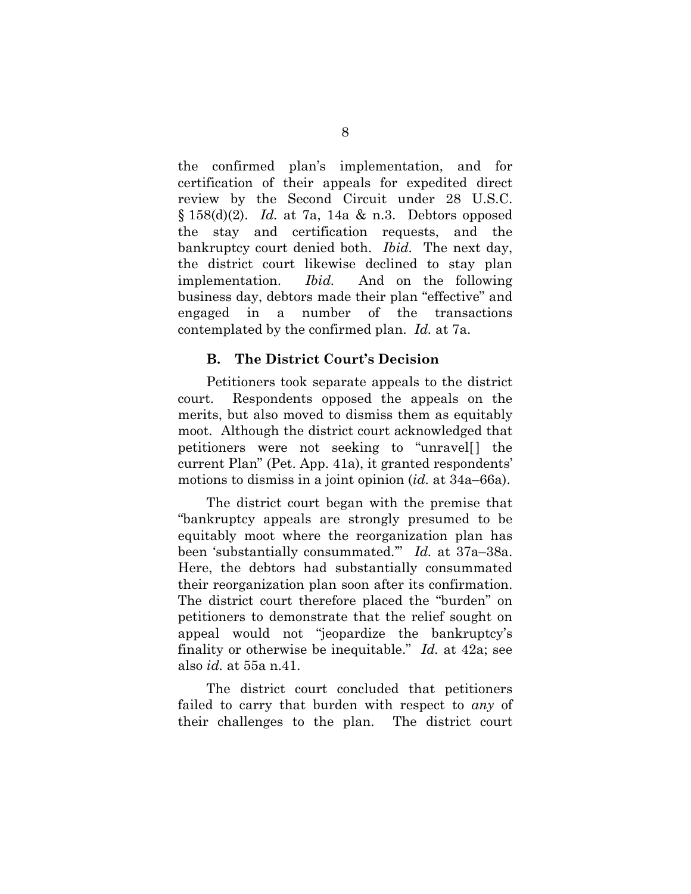the confirmed plan's implementation, and for certification of their appeals for expedited direct review by the Second Circuit under 28 U.S.C. § 158(d)(2). *Id.* at 7a, 14a & n.3. Debtors opposed the stay and certification requests, and the bankruptcy court denied both. *Ibid.* The next day, the district court likewise declined to stay plan implementation. *Ibid.* And on the following business day, debtors made their plan "effective" and engaged in a number of the transactions contemplated by the confirmed plan. *Id.* at 7a.

#### **B. The District Court's Decision**

Petitioners took separate appeals to the district court. Respondents opposed the appeals on the merits, but also moved to dismiss them as equitably moot. Although the district court acknowledged that petitioners were not seeking to "unravel current Plan" (Pet. App. 41a), it granted respondents' motions to dismiss in a joint opinion (*id.* at 34a–66a).

The district court began with the premise that "bankruptcy appeals are strongly presumed to be equitably moot where the reorganization plan has been 'substantially consummated.'" *Id.* at 37a–38a. Here, the debtors had substantially consummated their reorganization plan soon after its confirmation. The district court therefore placed the "burden" on petitioners to demonstrate that the relief sought on appeal would not "jeopardize the bankruptcy's finality or otherwise be inequitable." *Id.* at 42a; see also *id.* at 55a n.41.

The district court concluded that petitioners failed to carry that burden with respect to *any* of their challenges to the plan. The district court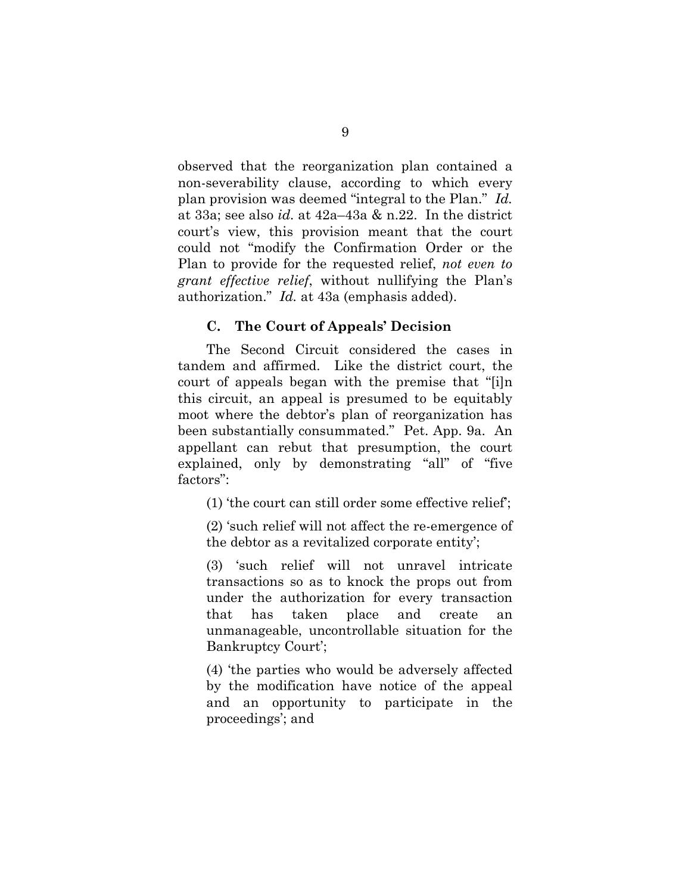observed that the reorganization plan contained a non-severability clause, according to which every plan provision was deemed "integral to the Plan." *Id.* at 33a; see also *id.* at 42a–43a & n.22. In the district court's view, this provision meant that the court could not "modify the Confirmation Order or the Plan to provide for the requested relief, *not even to grant effective relief*, without nullifying the Plan's authorization." *Id.* at 43a (emphasis added).

#### **C. The Court of Appeals' Decision**

The Second Circuit considered the cases in tandem and affirmed. Like the district court, the court of appeals began with the premise that "[i]n this circuit, an appeal is presumed to be equitably moot where the debtor's plan of reorganization has been substantially consummated." Pet. App. 9a. An appellant can rebut that presumption, the court explained, only by demonstrating "all" of "five factors":

(1) 'the court can still order some effective relief';

(2) 'such relief will not affect the re-emergence of the debtor as a revitalized corporate entity';

(3) 'such relief will not unravel intricate transactions so as to knock the props out from under the authorization for every transaction that has taken place and create an unmanageable, uncontrollable situation for the Bankruptcy Court';

(4) 'the parties who would be adversely affected by the modification have notice of the appeal and an opportunity to participate in the proceedings'; and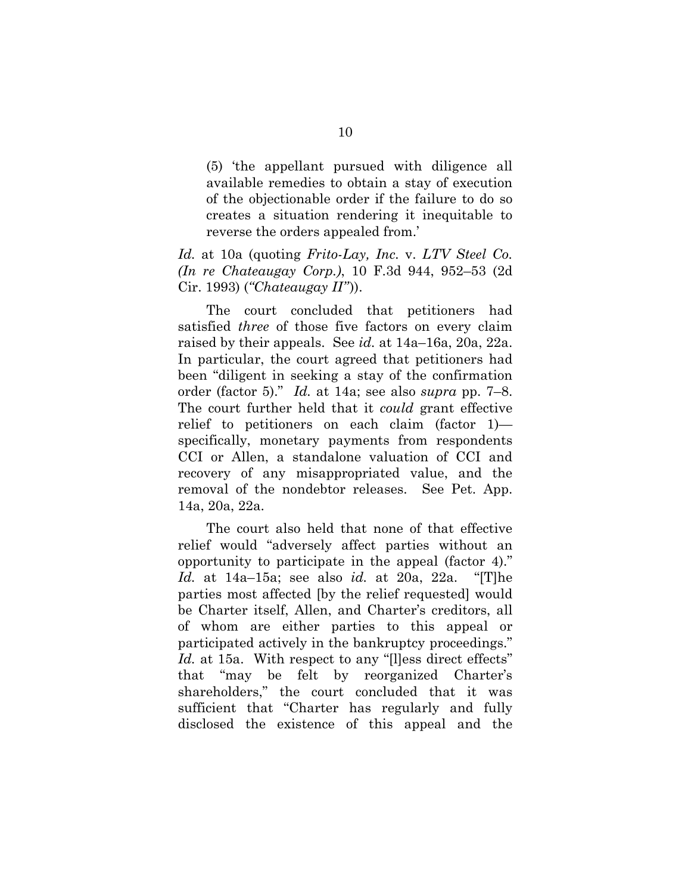(5) 'the appellant pursued with diligence all available remedies to obtain a stay of execution of the objectionable order if the failure to do so creates a situation rendering it inequitable to reverse the orders appealed from.'

*Id.* at 10a (quoting *Frito-Lay, Inc.* v. *LTV Steel Co. (In re Chateaugay Corp.)*, 10 F.3d 944, 952–53 (2d Cir. 1993) (*"Chateaugay II"*)).

 The court concluded that petitioners had satisfied *three* of those five factors on every claim raised by their appeals. See *id.* at 14a–16a, 20a, 22a. In particular, the court agreed that petitioners had been "diligent in seeking a stay of the confirmation order (factor 5)." *Id.* at 14a; see also *supra* pp. 7–8. The court further held that it *could* grant effective relief to petitioners on each claim (factor 1) specifically, monetary payments from respondents CCI or Allen, a standalone valuation of CCI and recovery of any misappropriated value, and the removal of the nondebtor releases. See Pet. App. 14a, 20a, 22a.

 The court also held that none of that effective relief would "adversely affect parties without an opportunity to participate in the appeal (factor 4)." *Id.* at 14a–15a; see also *id.* at 20a, 22a. "[T]he parties most affected [by the relief requested] would be Charter itself, Allen, and Charter's creditors, all of whom are either parties to this appeal or participated actively in the bankruptcy proceedings." Id. at 15a. With respect to any "Illess direct effects" that "may be felt by reorganized Charter's shareholders," the court concluded that it was sufficient that "Charter has regularly and fully disclosed the existence of this appeal and the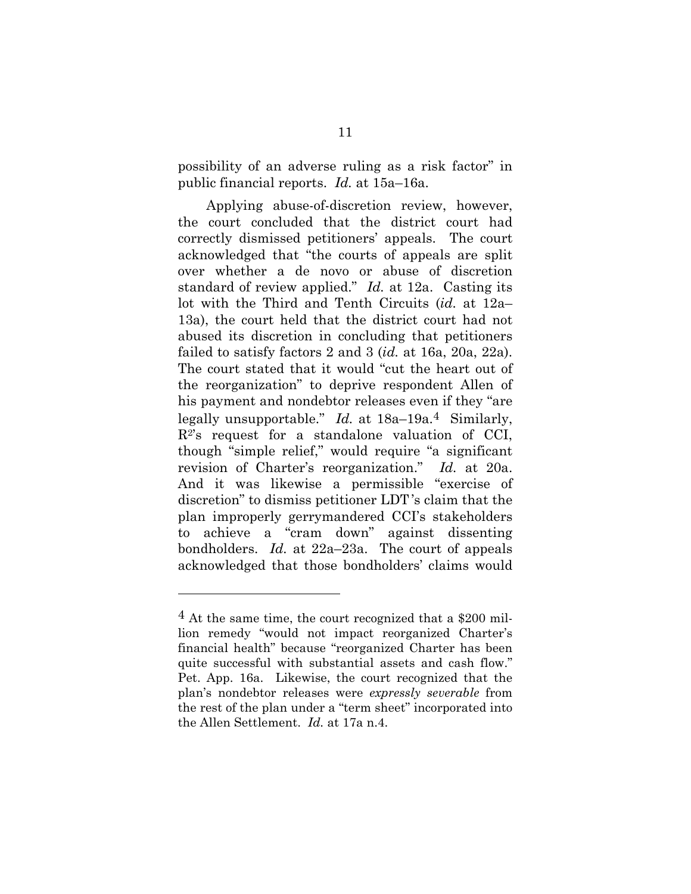possibility of an adverse ruling as a risk factor" in public financial reports. *Id.* at 15a–16a.

Applying abuse-of-discretion review, however, the court concluded that the district court had correctly dismissed petitioners' appeals. The court acknowledged that "the courts of appeals are split over whether a de novo or abuse of discretion standard of review applied." *Id.* at 12a. Casting its lot with the Third and Tenth Circuits (*id.* at 12a– 13a), the court held that the district court had not abused its discretion in concluding that petitioners failed to satisfy factors 2 and 3 (*id.* at 16a, 20a, 22a). The court stated that it would "cut the heart out of the reorganization" to deprive respondent Allen of his payment and nondebtor releases even if they "are legally unsupportable." *Id.* at 18a–19a.4 Similarly,  $R^2$ 's request for a standalone valuation of CCI, though "simple relief," would require "a significant revision of Charter's reorganization." *Id.* at 20a. And it was likewise a permissible "exercise of discretion" to dismiss petitioner LDT 's claim that the plan improperly gerrymandered CCI's stakeholders to achieve a "cram down" against dissenting bondholders. *Id.* at 22a–23a. The court of appeals acknowledged that those bondholders' claims would

<sup>4</sup> At the same time, the court recognized that a \$200 million remedy "would not impact reorganized Charter's financial health" because "reorganized Charter has been quite successful with substantial assets and cash flow." Pet. App. 16a. Likewise, the court recognized that the plan's nondebtor releases were *expressly severable* from the rest of the plan under a "term sheet" incorporated into the Allen Settlement. *Id.* at 17a n.4.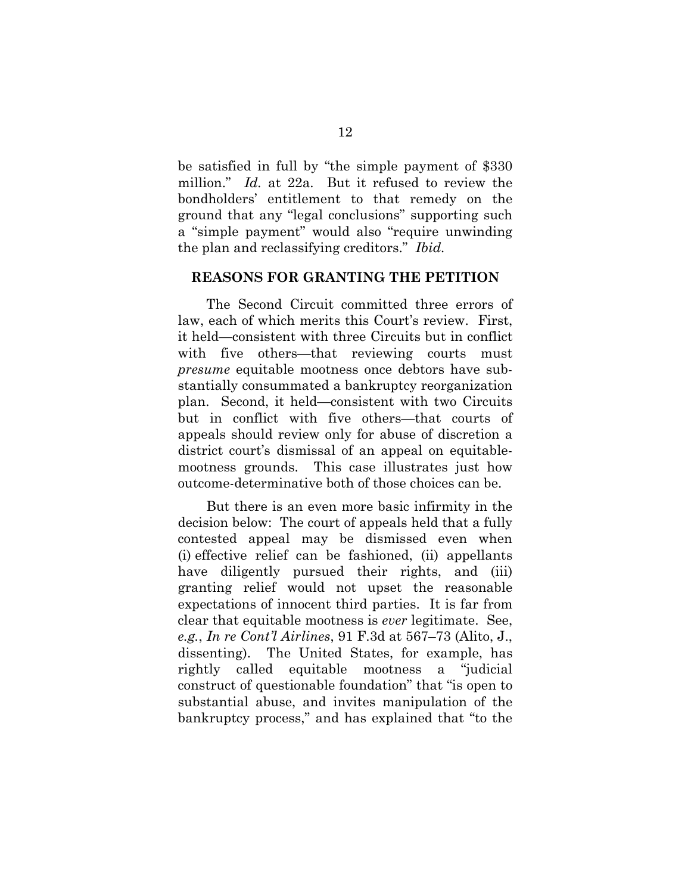be satisfied in full by "the simple payment of \$330 million." *Id.* at 22a. But it refused to review the bondholders' entitlement to that remedy on the ground that any "legal conclusions" supporting such a "simple payment" would also "require unwinding the plan and reclassifying creditors." *Ibid.*

#### **REASONS FOR GRANTING THE PETITION**

The Second Circuit committed three errors of law, each of which merits this Court's review. First, it held—consistent with three Circuits but in conflict with five others—that reviewing courts must *presume* equitable mootness once debtors have substantially consummated a bankruptcy reorganization plan. Second, it held—consistent with two Circuits but in conflict with five others—that courts of appeals should review only for abuse of discretion a district court's dismissal of an appeal on equitablemootness grounds. This case illustrates just how outcome-determinative both of those choices can be.

But there is an even more basic infirmity in the decision below: The court of appeals held that a fully contested appeal may be dismissed even when (i) effective relief can be fashioned, (ii) appellants have diligently pursued their rights, and (iii) granting relief would not upset the reasonable expectations of innocent third parties. It is far from clear that equitable mootness is *ever* legitimate. See, *e.g.*, *In re Cont'l Airlines*, 91 F.3d at 567–73 (Alito, J., dissenting). The United States, for example, has rightly called equitable mootness a "judicial construct of questionable foundation" that "is open to substantial abuse, and invites manipulation of the bankruptcy process," and has explained that "to the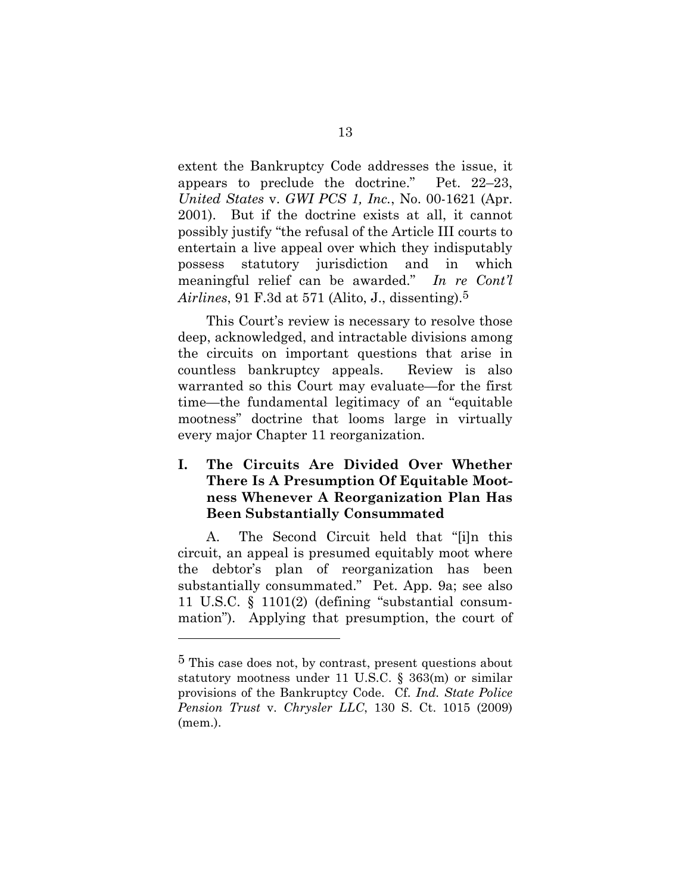extent the Bankruptcy Code addresses the issue, it appears to preclude the doctrine." Pet. 22–23, *United States* v. *GWI PCS 1, Inc.*, No. 00-1621 (Apr. 2001). But if the doctrine exists at all, it cannot possibly justify "the refusal of the Article III courts to entertain a live appeal over which they indisputably possess statutory jurisdiction and in which meaningful relief can be awarded." *In re Cont'l Airlines*, 91 F.3d at 571 (Alito, J., dissenting).5

This Court's review is necessary to resolve those deep, acknowledged, and intractable divisions among the circuits on important questions that arise in countless bankruptcy appeals. Review is also warranted so this Court may evaluate—for the first time—the fundamental legitimacy of an "equitable mootness" doctrine that looms large in virtually every major Chapter 11 reorganization.

### **I. The Circuits Are Divided Over Whether There Is A Presumption Of Equitable Mootness Whenever A Reorganization Plan Has Been Substantially Consummated**

A. The Second Circuit held that "[i]n this circuit, an appeal is presumed equitably moot where the debtor's plan of reorganization has been substantially consummated." Pet. App. 9a; see also 11 U.S.C. § 1101(2) (defining "substantial consummation"). Applying that presumption, the court of

<sup>5</sup> This case does not, by contrast, present questions about statutory mootness under 11 U.S.C. § 363(m) or similar provisions of the Bankruptcy Code. Cf. *Ind. State Police Pension Trust* v. *Chrysler LLC*, 130 S. Ct. 1015 (2009) (mem.).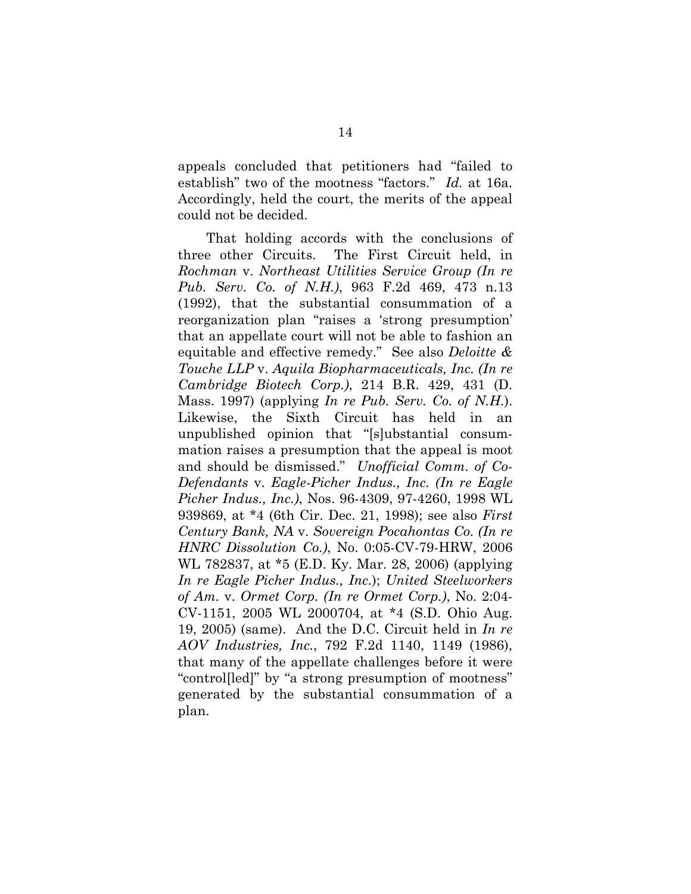appeals concluded that petitioners had "failed to establish" two of the mootness "factors." *Id.* at 16a. Accordingly, held the court, the merits of the appeal could not be decided.

That holding accords with the conclusions of three other Circuits. The First Circuit held, in *Rochman* v. *Northeast Utilities Service Group (In re Pub. Serv. Co. of N.H.)*, 963 F.2d 469, 473 n.13 (1992), that the substantial consummation of a reorganization plan "raises a 'strong presumption' that an appellate court will not be able to fashion an equitable and effective remedy." See also *Deloitte & Touche LLP* v. *Aquila Biopharmaceuticals, Inc. (In re Cambridge Biotech Corp.)*, 214 B.R. 429, 431 (D. Mass. 1997) (applying *In re Pub. Serv. Co. of N.H.*). Likewise, the Sixth Circuit has held in an unpublished opinion that "[s]ubstantial consummation raises a presumption that the appeal is moot and should be dismissed." *Unofficial Comm. of Co-Defendants* v. *Eagle-Picher Indus., Inc. (In re Eagle Picher Indus., Inc.)*, Nos. 96-4309, 97-4260, 1998 WL 939869, at \*4 (6th Cir. Dec. 21, 1998); see also *First Century Bank, NA* v. *Sovereign Pocahontas Co. (In re HNRC Dissolution Co.)*, No. 0:05-CV-79-HRW, 2006 WL 782837, at \*5 (E.D. Ky. Mar. 28, 2006) (applying *In re Eagle Picher Indus., Inc.*); *United Steelworkers of Am.* v. *Ormet Corp. (In re Ormet Corp.)*, No. 2:04- CV-1151, 2005 WL 2000704, at \*4 (S.D. Ohio Aug. 19, 2005) (same). And the D.C. Circuit held in *In re AOV Industries, Inc.*, 792 F.2d 1140, 1149 (1986), that many of the appellate challenges before it were "control[led]" by "a strong presumption of mootness" generated by the substantial consummation of a plan.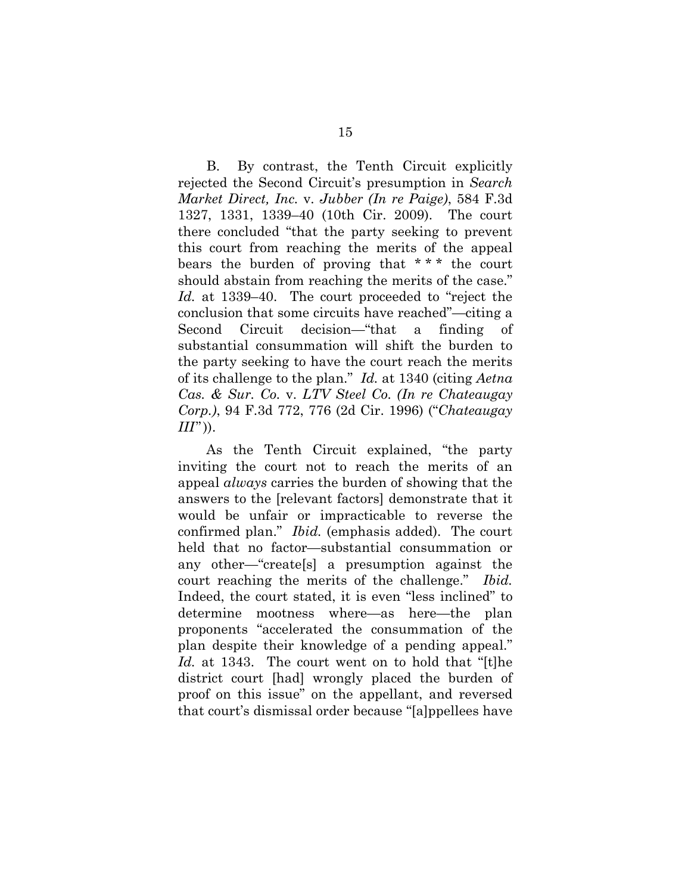B. By contrast, the Tenth Circuit explicitly rejected the Second Circuit's presumption in *Search Market Direct, Inc.* v. *Jubber (In re Paige)*, 584 F.3d 1327, 1331, 1339–40 (10th Cir. 2009). The court there concluded "that the party seeking to prevent this court from reaching the merits of the appeal bears the burden of proving that \* \* \* the court should abstain from reaching the merits of the case." *Id.* at 1339–40. The court proceeded to "reject the conclusion that some circuits have reached"—citing a Second Circuit decision—"that a finding of substantial consummation will shift the burden to the party seeking to have the court reach the merits of its challenge to the plan." *Id.* at 1340 (citing *Aetna Cas. & Sur. Co.* v. *LTV Steel Co. (In re Chateaugay Corp.)*, 94 F.3d 772, 776 (2d Cir. 1996) ("*Chateaugay*   $III$ ")).

As the Tenth Circuit explained, "the party inviting the court not to reach the merits of an appeal *always* carries the burden of showing that the answers to the [relevant factors] demonstrate that it would be unfair or impracticable to reverse the confirmed plan." *Ibid.* (emphasis added). The court held that no factor—substantial consummation or any other—"create[s] a presumption against the court reaching the merits of the challenge." *Ibid.* Indeed, the court stated, it is even "less inclined" to determine mootness where—as here—the plan proponents "accelerated the consummation of the plan despite their knowledge of a pending appeal." *Id.* at 1343. The court went on to hold that "[t]he district court [had] wrongly placed the burden of proof on this issue" on the appellant, and reversed that court's dismissal order because "[a]ppellees have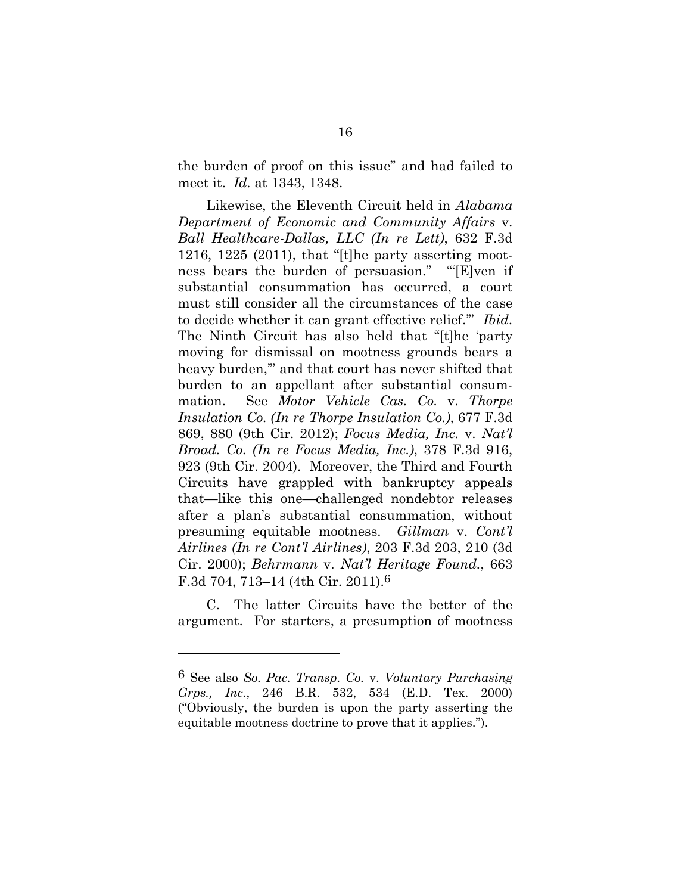the burden of proof on this issue" and had failed to meet it. *Id.* at 1343, 1348.

 Likewise, the Eleventh Circuit held in *Alabama Department of Economic and Community Affairs* v. *Ball Healthcare-Dallas, LLC (In re Lett)*, 632 F.3d 1216, 1225 (2011), that "[t]he party asserting mootness bears the burden of persuasion." "'[E]ven if substantial consummation has occurred, a court must still consider all the circumstances of the case to decide whether it can grant effective relief.'" *Ibid*. The Ninth Circuit has also held that "[t]he 'party moving for dismissal on mootness grounds bears a heavy burden,'" and that court has never shifted that burden to an appellant after substantial consummation. See *Motor Vehicle Cas. Co.* v. *Thorpe Insulation Co. (In re Thorpe Insulation Co.)*, 677 F.3d 869, 880 (9th Cir. 2012); *Focus Media, Inc.* v. *Nat'l Broad. Co. (In re Focus Media, Inc.)*, 378 F.3d 916, 923 (9th Cir. 2004). Moreover, the Third and Fourth Circuits have grappled with bankruptcy appeals that—like this one—challenged nondebtor releases after a plan's substantial consummation, without presuming equitable mootness. *Gillman* v. *Cont'l Airlines (In re Cont'l Airlines)*, 203 F.3d 203, 210 (3d Cir. 2000); *Behrmann* v. *Nat'l Heritage Found.*, 663 F.3d 704, 713–14 (4th Cir. 2011).6

 C. The latter Circuits have the better of the argument. For starters, a presumption of mootness

<sup>6</sup> See also *So. Pac. Transp. Co.* v. *Voluntary Purchasing Grps., Inc.*, 246 B.R. 532, 534 (E.D. Tex. 2000) ("Obviously, the burden is upon the party asserting the equitable mootness doctrine to prove that it applies.").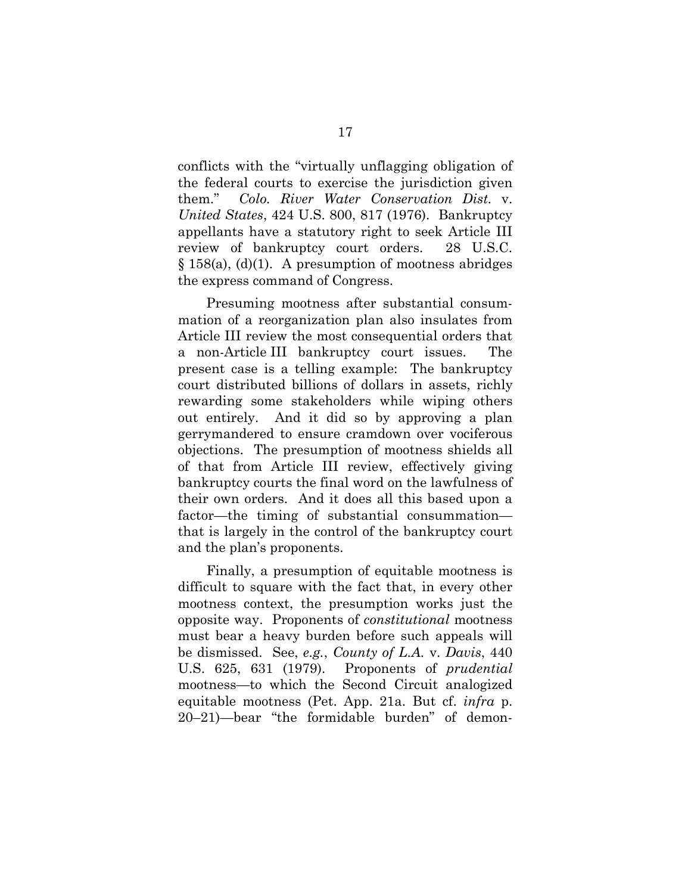conflicts with the "virtually unflagging obligation of the federal courts to exercise the jurisdiction given them." *Colo. River Water Conservation Dist.* v. *United States*, 424 U.S. 800, 817 (1976). Bankruptcy appellants have a statutory right to seek Article III review of bankruptcy court orders. 28 U.S.C.  $\S 158(a)$ , (d)(1). A presumption of mootness abridges the express command of Congress.

 Presuming mootness after substantial consummation of a reorganization plan also insulates from Article III review the most consequential orders that a non-Article III bankruptcy court issues. The present case is a telling example: The bankruptcy court distributed billions of dollars in assets, richly rewarding some stakeholders while wiping others out entirely. And it did so by approving a plan gerrymandered to ensure cramdown over vociferous objections. The presumption of mootness shields all of that from Article III review, effectively giving bankruptcy courts the final word on the lawfulness of their own orders. And it does all this based upon a factor—the timing of substantial consummation that is largely in the control of the bankruptcy court and the plan's proponents.

 Finally, a presumption of equitable mootness is difficult to square with the fact that, in every other mootness context, the presumption works just the opposite way. Proponents of *constitutional* mootness must bear a heavy burden before such appeals will be dismissed. See, *e.g.*, *County of L.A.* v. *Davis*, 440 U.S. 625, 631 (1979). Proponents of *prudential* mootness—to which the Second Circuit analogized equitable mootness (Pet. App. 21a. But cf. *infra* p. 20–21)—bear "the formidable burden" of demon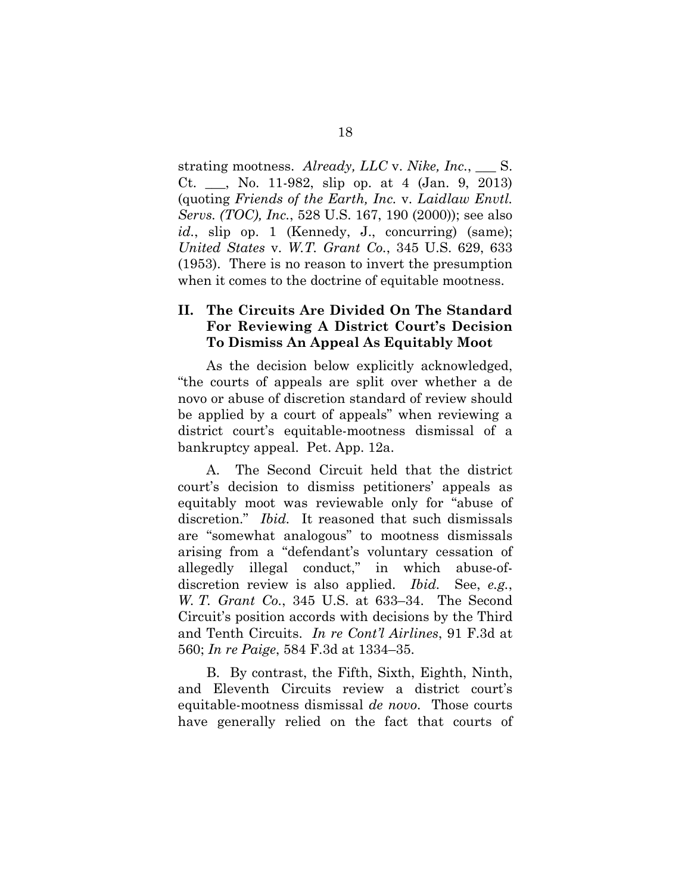strating mootness. *Already, LLC* v. *Nike, Inc.*, \_\_\_ S. Ct. \_\_\_, No. 11-982, slip op. at 4 (Jan. 9, 2013) (quoting *Friends of the Earth, Inc.* v. *Laidlaw Envtl. Servs. (TOC), Inc.*, 528 U.S. 167, 190 (2000)); see also id., slip op. 1 (Kennedy, J., concurring) (same); *United States* v. *W.T. Grant Co.*, 345 U.S. 629, 633 (1953). There is no reason to invert the presumption when it comes to the doctrine of equitable mootness.

#### **II. The Circuits Are Divided On The Standard For Reviewing A District Court's Decision To Dismiss An Appeal As Equitably Moot**

As the decision below explicitly acknowledged, "the courts of appeals are split over whether a de novo or abuse of discretion standard of review should be applied by a court of appeals" when reviewing a district court's equitable-mootness dismissal of a bankruptcy appeal. Pet. App. 12a.

A. The Second Circuit held that the district court's decision to dismiss petitioners' appeals as equitably moot was reviewable only for "abuse of discretion." *Ibid.* It reasoned that such dismissals are "somewhat analogous" to mootness dismissals arising from a "defendant's voluntary cessation of allegedly illegal conduct," in which abuse-ofdiscretion review is also applied. *Ibid.* See, *e.g.*, *W. T. Grant Co.*, 345 U.S. at 633–34. The Second Circuit's position accords with decisions by the Third and Tenth Circuits. *In re Cont'l Airlines*, 91 F.3d at 560; *In re Paige*, 584 F.3d at 1334–35.

B. By contrast, the Fifth, Sixth, Eighth, Ninth, and Eleventh Circuits review a district court's equitable-mootness dismissal *de novo*. Those courts have generally relied on the fact that courts of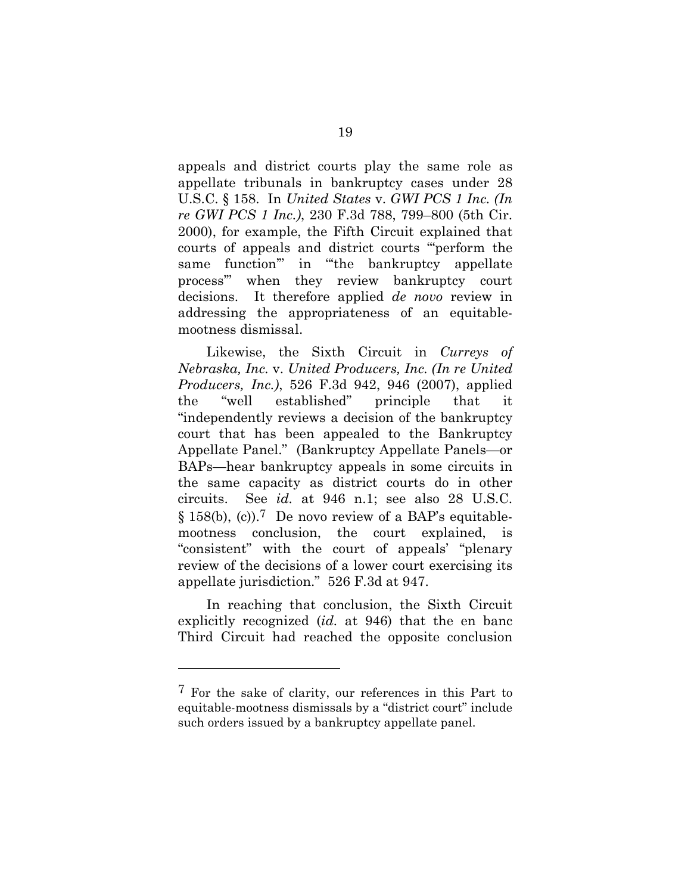appeals and district courts play the same role as appellate tribunals in bankruptcy cases under 28 U.S.C. § 158. In *United States* v. *GWI PCS 1 Inc. (In re GWI PCS 1 Inc.)*, 230 F.3d 788, 799–800 (5th Cir. 2000), for example, the Fifth Circuit explained that courts of appeals and district courts "'perform the same function" in "the bankruptcy appellate process'" when they review bankruptcy court decisions. It therefore applied *de novo* review in addressing the appropriateness of an equitablemootness dismissal.

Likewise, the Sixth Circuit in *Curreys of Nebraska, Inc.* v. *United Producers, Inc. (In re United Producers, Inc.)*, 526 F.3d 942, 946 (2007), applied the "well established" principle that it "independently reviews a decision of the bankruptcy court that has been appealed to the Bankruptcy Appellate Panel." (Bankruptcy Appellate Panels—or BAPs—hear bankruptcy appeals in some circuits in the same capacity as district courts do in other circuits. See *id.* at 946 n.1; see also 28 U.S.C. § 158(b), (c)).7 De novo review of a BAP's equitablemootness conclusion, the court explained, is "consistent" with the court of appeals' "plenary review of the decisions of a lower court exercising its appellate jurisdiction." 526 F.3d at 947.

In reaching that conclusion, the Sixth Circuit explicitly recognized (*id.* at 946) that the en banc Third Circuit had reached the opposite conclusion

<sup>7</sup> For the sake of clarity, our references in this Part to equitable-mootness dismissals by a "district court" include such orders issued by a bankruptcy appellate panel.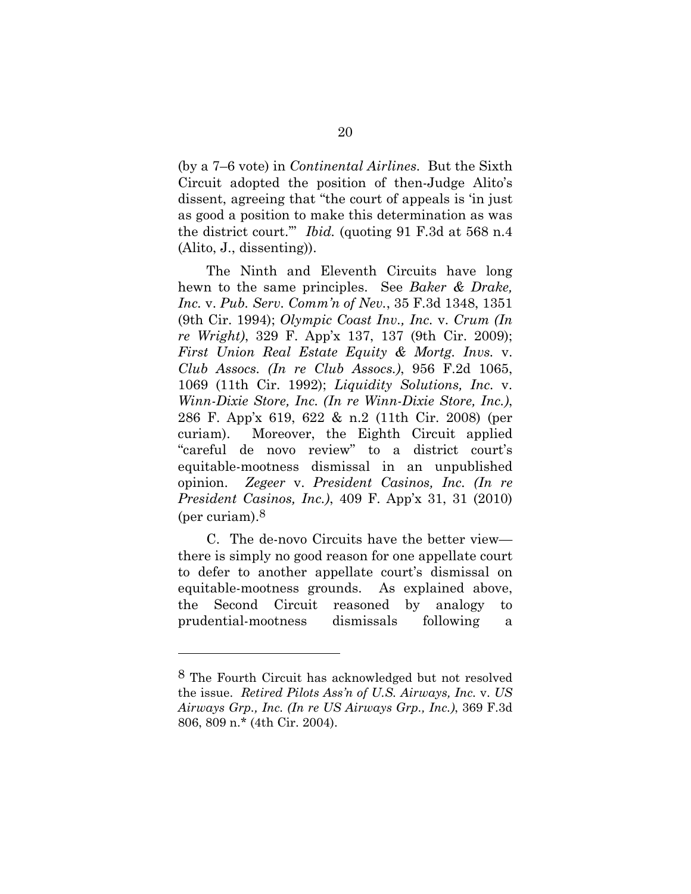(by a 7–6 vote) in *Continental Airlines*. But the Sixth Circuit adopted the position of then-Judge Alito's dissent, agreeing that "the court of appeals is 'in just as good a position to make this determination as was the district court.'" *Ibid.* (quoting 91 F.3d at 568 n.4 (Alito, J., dissenting)).

The Ninth and Eleventh Circuits have long hewn to the same principles. See *Baker & Drake, Inc.* v. *Pub. Serv. Comm'n of Nev.*, 35 F.3d 1348, 1351 (9th Cir. 1994); *Olympic Coast Inv., Inc.* v. *Crum (In re Wright)*, 329 F. App'x 137, 137 (9th Cir. 2009); *First Union Real Estate Equity & Mortg. Invs.* v. *Club Assocs. (In re Club Assocs.)*, 956 F.2d 1065, 1069 (11th Cir. 1992); *Liquidity Solutions, Inc.* v. *Winn-Dixie Store, Inc. (In re Winn-Dixie Store, Inc.)*, 286 F. App'x 619, 622 & n.2 (11th Cir. 2008) (per curiam). Moreover, the Eighth Circuit applied "careful de novo review" to a district court's equitable-mootness dismissal in an unpublished opinion. *Zegeer* v. *President Casinos, Inc. (In re President Casinos, Inc.)*, 409 F. App'x 31, 31 (2010) (per curiam).8

C. The de-novo Circuits have the better view there is simply no good reason for one appellate court to defer to another appellate court's dismissal on equitable-mootness grounds. As explained above, the Second Circuit reasoned by analogy to prudential-mootness dismissals following a

<sup>8</sup> The Fourth Circuit has acknowledged but not resolved the issue. *Retired Pilots Ass'n of U.S. Airways, Inc.* v. *US Airways Grp., Inc. (In re US Airways Grp., Inc.)*, 369 F.3d 806, 809 n.\* (4th Cir. 2004).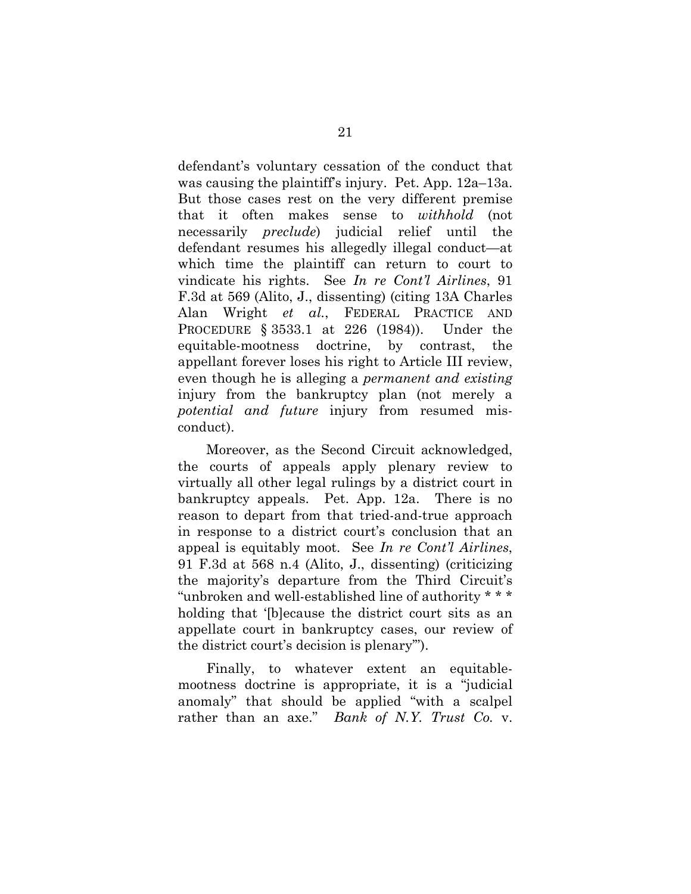defendant's voluntary cessation of the conduct that was causing the plaintiff's injury. Pet. App. 12a–13a. But those cases rest on the very different premise that it often makes sense to *withhold* (not necessarily *preclude*) judicial relief until the defendant resumes his allegedly illegal conduct—at which time the plaintiff can return to court to vindicate his rights. See *In re Cont'l Airlines*, 91 F.3d at 569 (Alito, J., dissenting) (citing 13A Charles Alan Wright *et al.*, FEDERAL PRACTICE AND PROCEDURE § 3533.1 at 226 (1984)). Under the equitable-mootness doctrine, by contrast, the appellant forever loses his right to Article III review, even though he is alleging a *permanent and existing* injury from the bankruptcy plan (not merely a *potential and future* injury from resumed misconduct).

Moreover, as the Second Circuit acknowledged, the courts of appeals apply plenary review to virtually all other legal rulings by a district court in bankruptcy appeals. Pet. App. 12a. There is no reason to depart from that tried-and-true approach in response to a district court's conclusion that an appeal is equitably moot. See *In re Cont'l Airlines*, 91 F.3d at 568 n.4 (Alito, J., dissenting) (criticizing the majority's departure from the Third Circuit's "unbroken and well-established line of authority \* \* \* holding that '[b]ecause the district court sits as an appellate court in bankruptcy cases, our review of the district court's decision is plenary'").

Finally, to whatever extent an equitablemootness doctrine is appropriate, it is a "judicial anomaly" that should be applied "with a scalpel rather than an axe." *Bank of N.Y. Trust Co.* v.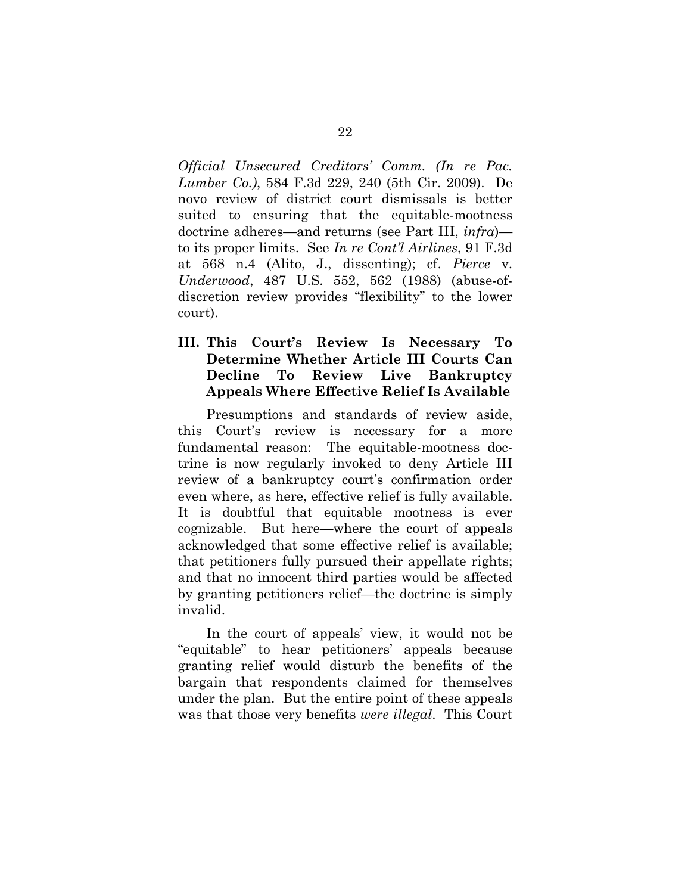*Official Unsecured Creditors' Comm. (In re Pac. Lumber Co.)*, 584 F.3d 229, 240 (5th Cir. 2009). De novo review of district court dismissals is better suited to ensuring that the equitable-mootness doctrine adheres—and returns (see Part III, *infra*) to its proper limits. See *In re Cont'l Airlines*, 91 F.3d at 568 n.4 (Alito, J., dissenting); cf. *Pierce* v. *Underwood*, 487 U.S. 552, 562 (1988) (abuse-ofdiscretion review provides "flexibility" to the lower court).

#### **III. This Court's Review Is Necessary To Determine Whether Article III Courts Can Decline To Review Live Bankruptcy Appeals Where Effective Relief Is Available**

Presumptions and standards of review aside, this Court's review is necessary for a more fundamental reason: The equitable-mootness doctrine is now regularly invoked to deny Article III review of a bankruptcy court's confirmation order even where, as here, effective relief is fully available. It is doubtful that equitable mootness is ever cognizable. But here—where the court of appeals acknowledged that some effective relief is available; that petitioners fully pursued their appellate rights; and that no innocent third parties would be affected by granting petitioners relief—the doctrine is simply invalid.

In the court of appeals' view, it would not be "equitable" to hear petitioners' appeals because granting relief would disturb the benefits of the bargain that respondents claimed for themselves under the plan. But the entire point of these appeals was that those very benefits *were illegal*. This Court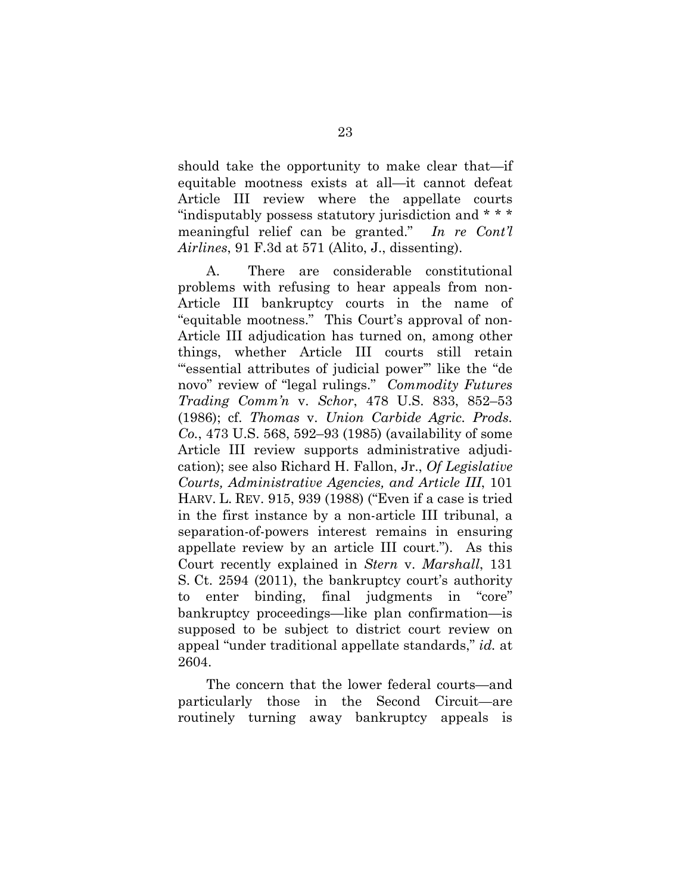should take the opportunity to make clear that—if equitable mootness exists at all—it cannot defeat Article III review where the appellate courts "indisputably possess statutory jurisdiction and \* \* \* meaningful relief can be granted." *In re Cont'l Airlines*, 91 F.3d at 571 (Alito, J., dissenting).

A. There are considerable constitutional problems with refusing to hear appeals from non-Article III bankruptcy courts in the name of "equitable mootness." This Court's approval of non-Article III adjudication has turned on, among other things, whether Article III courts still retain "essential attributes of judicial power" like the "de novo" review of "legal rulings." *Commodity Futures Trading Comm'n* v. *Schor*, 478 U.S. 833, 852–53 (1986); cf. *Thomas* v. *Union Carbide Agric. Prods. Co.*, 473 U.S. 568, 592–93 (1985) (availability of some Article III review supports administrative adjudication); see also Richard H. Fallon, Jr., *Of Legislative Courts, Administrative Agencies, and Article III*, 101 HARV. L. REV. 915, 939 (1988) ("Even if a case is tried in the first instance by a non-article III tribunal, a separation-of-powers interest remains in ensuring appellate review by an article III court."). As this Court recently explained in *Stern* v. *Marshall*, 131 S. Ct. 2594 (2011), the bankruptcy court's authority to enter binding, final judgments in "core" bankruptcy proceedings—like plan confirmation—is supposed to be subject to district court review on appeal "under traditional appellate standards," *id.* at 2604.

The concern that the lower federal courts—and particularly those in the Second Circuit—are routinely turning away bankruptcy appeals is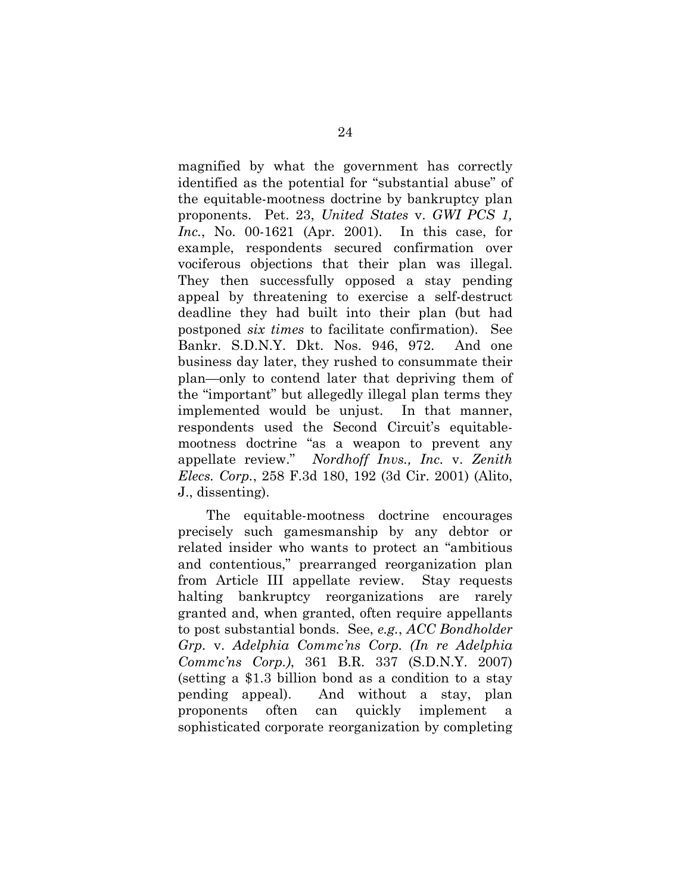magnified by what the government has correctly identified as the potential for "substantial abuse" of the equitable-mootness doctrine by bankruptcy plan proponents. Pet. 23, *United States* v. *GWI PCS 1, Inc.*, No. 00-1621 (Apr. 2001). In this case, for example, respondents secured confirmation over vociferous objections that their plan was illegal. They then successfully opposed a stay pending appeal by threatening to exercise a self-destruct deadline they had built into their plan (but had postponed *six times* to facilitate confirmation). See Bankr. S.D.N.Y. Dkt. Nos. 946, 972. And one business day later, they rushed to consummate their plan—only to contend later that depriving them of the "important" but allegedly illegal plan terms they implemented would be unjust. In that manner, respondents used the Second Circuit's equitablemootness doctrine "as a weapon to prevent any appellate review." *Nordhoff Invs., Inc.* v. *Zenith Elecs. Corp.*, 258 F.3d 180, 192 (3d Cir. 2001) (Alito, J., dissenting).

The equitable-mootness doctrine encourages precisely such gamesmanship by any debtor or related insider who wants to protect an "ambitious and contentious," prearranged reorganization plan from Article III appellate review. Stay requests halting bankruptcy reorganizations are rarely granted and, when granted, often require appellants to post substantial bonds. See, *e.g.*, *ACC Bondholder Grp.* v. *Adelphia Commc'ns Corp. (In re Adelphia Commc'ns Corp.)*, 361 B.R. 337 (S.D.N.Y. 2007) (setting a \$1.3 billion bond as a condition to a stay pending appeal). And without a stay, plan proponents often can quickly implement a sophisticated corporate reorganization by completing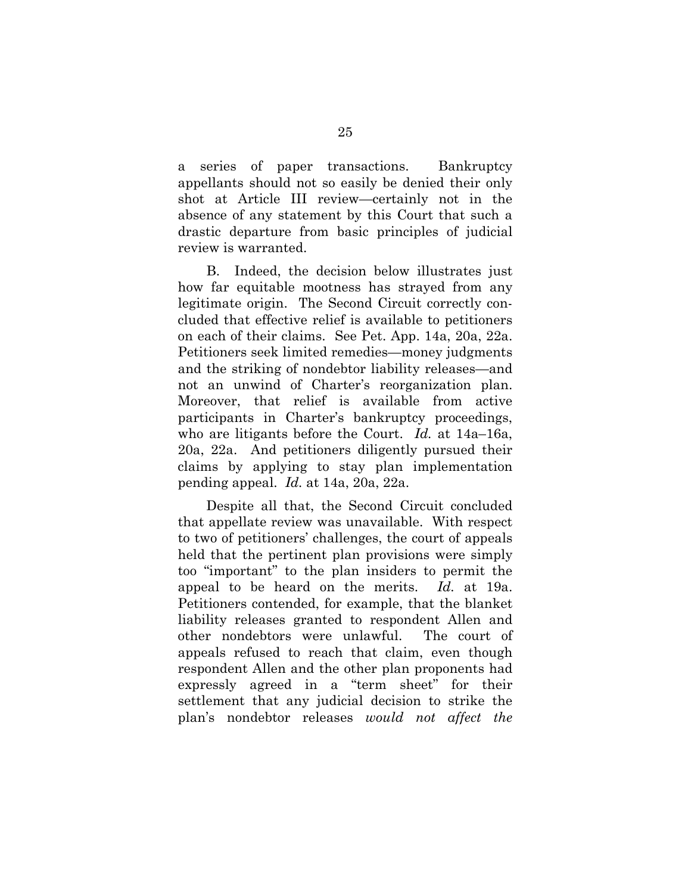a series of paper transactions. Bankruptcy appellants should not so easily be denied their only shot at Article III review—certainly not in the absence of any statement by this Court that such a drastic departure from basic principles of judicial review is warranted.

B. Indeed, the decision below illustrates just how far equitable mootness has strayed from any legitimate origin. The Second Circuit correctly concluded that effective relief is available to petitioners on each of their claims. See Pet. App. 14a, 20a, 22a. Petitioners seek limited remedies—money judgments and the striking of nondebtor liability releases—and not an unwind of Charter's reorganization plan. Moreover, that relief is available from active participants in Charter's bankruptcy proceedings, who are litigants before the Court. *Id.* at 14a–16a, 20a, 22a. And petitioners diligently pursued their claims by applying to stay plan implementation pending appeal. *Id.* at 14a, 20a, 22a.

Despite all that, the Second Circuit concluded that appellate review was unavailable. With respect to two of petitioners' challenges, the court of appeals held that the pertinent plan provisions were simply too "important" to the plan insiders to permit the appeal to be heard on the merits. *Id.* at 19a. Petitioners contended, for example, that the blanket liability releases granted to respondent Allen and other nondebtors were unlawful. The court of appeals refused to reach that claim, even though respondent Allen and the other plan proponents had expressly agreed in a "term sheet" for their settlement that any judicial decision to strike the plan's nondebtor releases *would not affect the*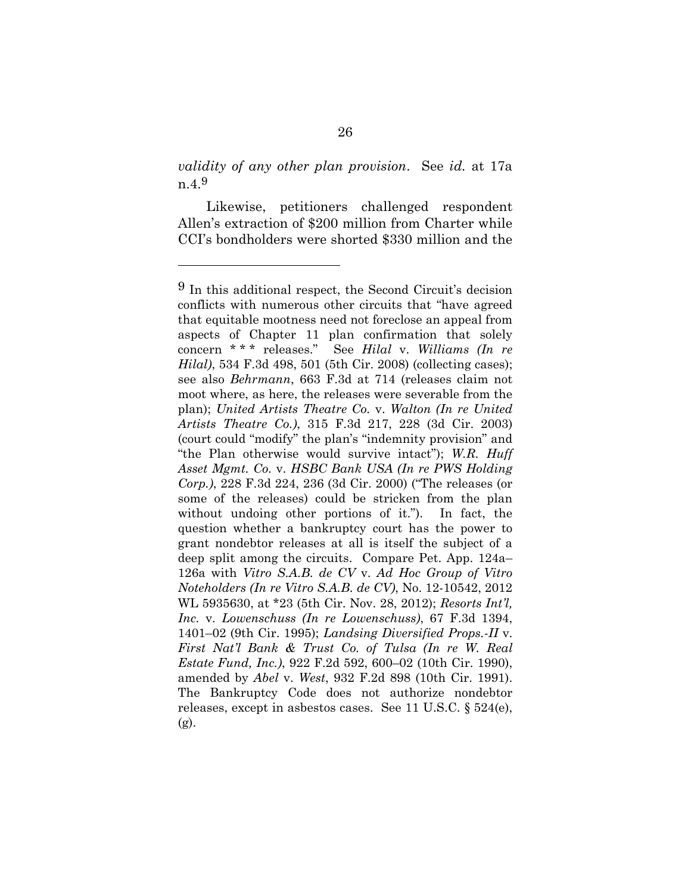*validity of any other plan provision*. See *id.* at 17a n.4.9

Likewise, petitioners challenged respondent Allen's extraction of \$200 million from Charter while CCI's bondholders were shorted \$330 million and the

<sup>9</sup> In this additional respect, the Second Circuit's decision conflicts with numerous other circuits that "have agreed that equitable mootness need not foreclose an appeal from aspects of Chapter 11 plan confirmation that solely concern \* \* \* releases." See *Hilal* v. *Williams (In re Hilal)*, 534 F.3d 498, 501 (5th Cir. 2008) (collecting cases); see also *Behrmann*, 663 F.3d at 714 (releases claim not moot where, as here, the releases were severable from the plan); *United Artists Theatre Co.* v. *Walton (In re United Artists Theatre Co.)*, 315 F.3d 217, 228 (3d Cir. 2003) (court could "modify" the plan's "indemnity provision" and "the Plan otherwise would survive intact"); *W.R. Huff Asset Mgmt. Co.* v. *HSBC Bank USA (In re PWS Holding Corp.)*, 228 F.3d 224, 236 (3d Cir. 2000) ("The releases (or some of the releases) could be stricken from the plan without undoing other portions of it."). In fact, the question whether a bankruptcy court has the power to grant nondebtor releases at all is itself the subject of a deep split among the circuits. Compare Pet. App. 124a– 126a with *Vitro S.A.B. de CV* v. *Ad Hoc Group of Vitro Noteholders (In re Vitro S.A.B. de CV)*, No. 12-10542, 2012 WL 5935630, at \*23 (5th Cir. Nov. 28, 2012); *Resorts Int'l, Inc.* v. *Lowenschuss (In re Lowenschuss)*, 67 F.3d 1394, 1401–02 (9th Cir. 1995); *Landsing Diversified Props.-II* v. *First Nat'l Bank & Trust Co. of Tulsa (In re W. Real Estate Fund, Inc.)*, 922 F.2d 592, 600–02 (10th Cir. 1990), amended by *Abel* v. *West*, 932 F.2d 898 (10th Cir. 1991). The Bankruptcy Code does not authorize nondebtor releases, except in asbestos cases. See 11 U.S.C. § 524(e), (g).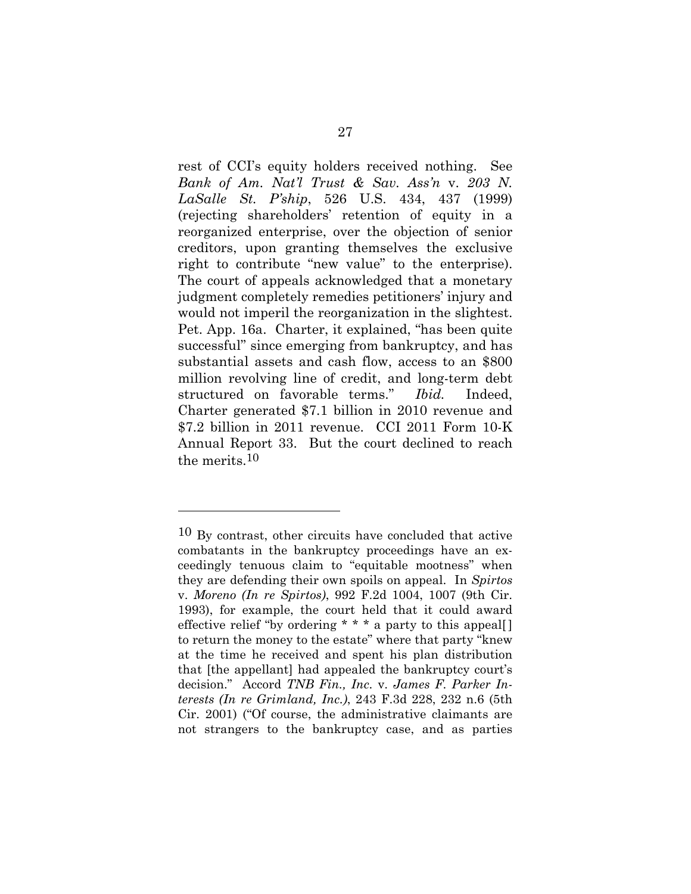rest of CCI's equity holders received nothing. See *Bank of Am. Nat'l Trust & Sav. Ass'n* v. *203 N. LaSalle St. P'ship*, 526 U.S. 434, 437 (1999) (rejecting shareholders' retention of equity in a reorganized enterprise, over the objection of senior creditors, upon granting themselves the exclusive right to contribute "new value" to the enterprise). The court of appeals acknowledged that a monetary judgment completely remedies petitioners' injury and would not imperil the reorganization in the slightest. Pet. App. 16a. Charter, it explained, "has been quite successful" since emerging from bankruptcy, and has substantial assets and cash flow, access to an \$800 million revolving line of credit, and long-term debt structured on favorable terms." *Ibid.* Indeed, Charter generated \$7.1 billion in 2010 revenue and \$7.2 billion in 2011 revenue. CCI 2011 Form 10-K Annual Report 33. But the court declined to reach the merits.10

<sup>10</sup> By contrast, other circuits have concluded that active combatants in the bankruptcy proceedings have an exceedingly tenuous claim to "equitable mootness" when they are defending their own spoils on appeal. In *Spirtos* v. *Moreno (In re Spirtos)*, 992 F.2d 1004, 1007 (9th Cir. 1993), for example, the court held that it could award effective relief "by ordering \* \* \* a party to this appeal[ ] to return the money to the estate" where that party "knew at the time he received and spent his plan distribution that [the appellant] had appealed the bankruptcy court's decision." Accord *TNB Fin., Inc.* v. *James F. Parker Interests (In re Grimland, Inc.)*, 243 F.3d 228, 232 n.6 (5th Cir. 2001) ("Of course, the administrative claimants are not strangers to the bankruptcy case, and as parties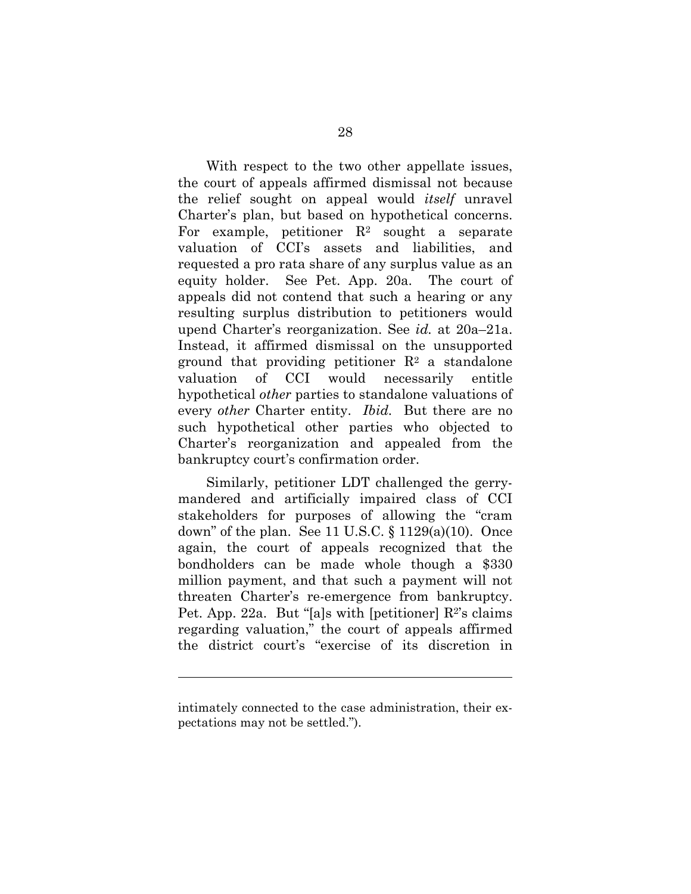With respect to the two other appellate issues, the court of appeals affirmed dismissal not because the relief sought on appeal would *itself* unravel Charter's plan, but based on hypothetical concerns. For example, petitioner  $\mathbb{R}^2$  sought a separate valuation of CCI's assets and liabilities, and requested a pro rata share of any surplus value as an equity holder. See Pet. App. 20a. The court of appeals did not contend that such a hearing or any resulting surplus distribution to petitioners would upend Charter's reorganization. See *id.* at 20a–21a. Instead, it affirmed dismissal on the unsupported ground that providing petitioner  $\mathbb{R}^2$  a standalone valuation of CCI would necessarily entitle hypothetical *other* parties to standalone valuations of every *other* Charter entity. *Ibid.* But there are no such hypothetical other parties who objected to Charter's reorganization and appealed from the bankruptcy court's confirmation order.

 Similarly, petitioner LDT challenged the gerrymandered and artificially impaired class of CCI stakeholders for purposes of allowing the "cram down" of the plan. See 11 U.S.C.  $\S$  1129(a)(10). Once again, the court of appeals recognized that the bondholders can be made whole though a \$330 million payment, and that such a payment will not threaten Charter's re-emergence from bankruptcy. Pet. App. 22a. But "[a]s with [petitioner]  $\mathbb{R}^2$ 's claims regarding valuation," the court of appeals affirmed the district court's "exercise of its discretion in

intimately connected to the case administration, their expectations may not be settled.").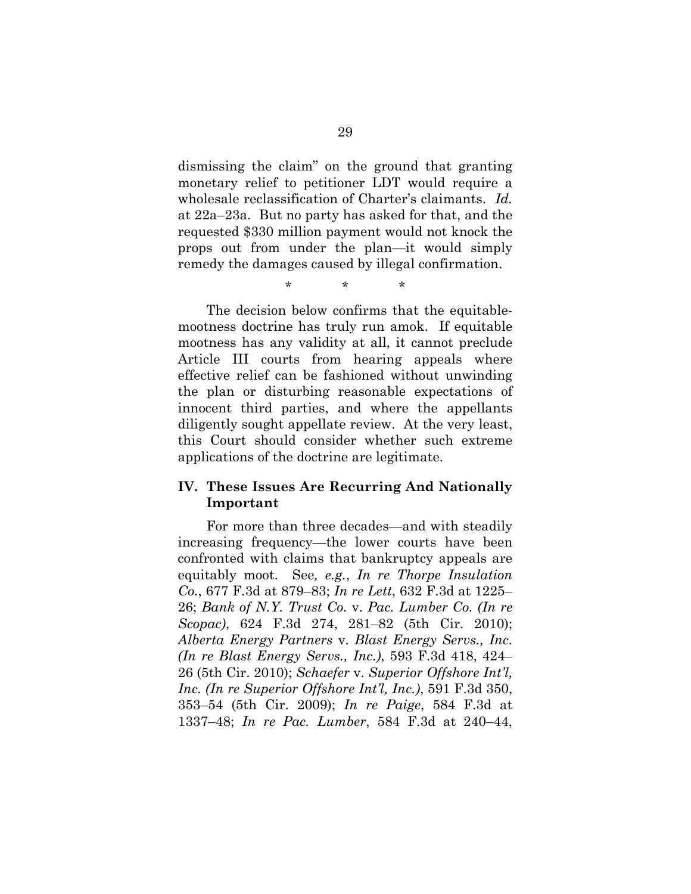dismissing the claim" on the ground that granting monetary relief to petitioner LDT would require a wholesale reclassification of Charter's claimants. *Id.* at 22a–23a. But no party has asked for that, and the requested \$330 million payment would not knock the props out from under the plan—it would simply remedy the damages caused by illegal confirmation.

\* \* \*

 The decision below confirms that the equitablemootness doctrine has truly run amok. If equitable mootness has any validity at all, it cannot preclude Article III courts from hearing appeals where effective relief can be fashioned without unwinding the plan or disturbing reasonable expectations of innocent third parties, and where the appellants diligently sought appellate review. At the very least, this Court should consider whether such extreme applications of the doctrine are legitimate.

#### **IV. These Issues Are Recurring And Nationally Important**

For more than three decades—and with steadily increasing frequency—the lower courts have been confronted with claims that bankruptcy appeals are equitably moot. See*, e.g.*, *In re Thorpe Insulation Co.*, 677 F.3d at 879–83; *In re Lett*, 632 F.3d at 1225– 26; *Bank of N.Y. Trust Co.* v. *Pac. Lumber Co. (In re Scopac)*, 624 F.3d 274, 281–82 (5th Cir. 2010); *Alberta Energy Partners* v. *Blast Energy Servs., Inc. (In re Blast Energy Servs., Inc.)*, 593 F.3d 418, 424– 26 (5th Cir. 2010); *Schaefer* v. *Superior Offshore Int'l, Inc. (In re Superior Offshore Int'l, Inc.)*, 591 F.3d 350, 353–54 (5th Cir. 2009); *In re Paige*, 584 F.3d at 1337–48; *In re Pac. Lumber*, 584 F.3d at 240–44,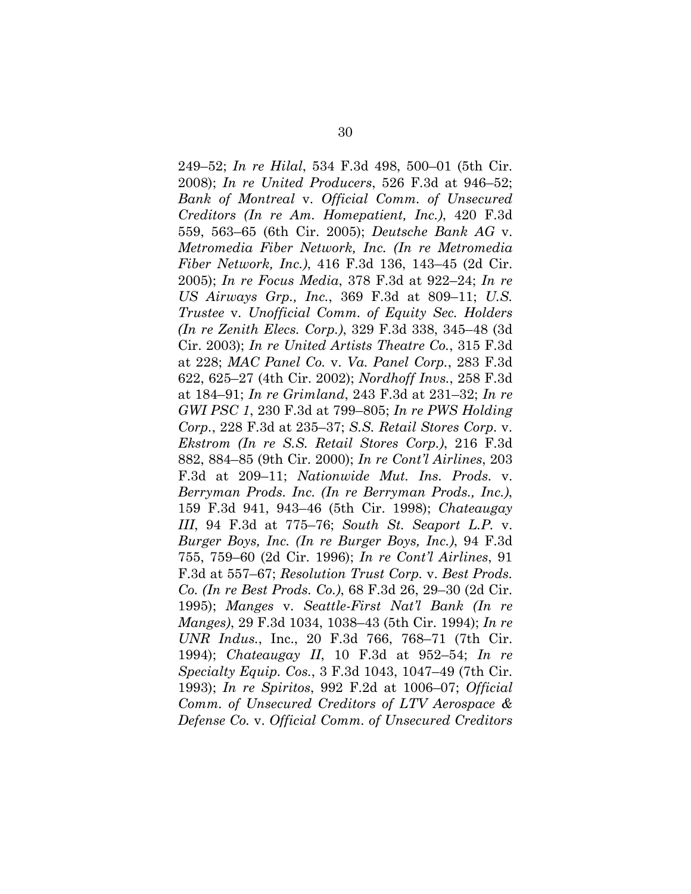249–52; *In re Hilal*, 534 F.3d 498, 500–01 (5th Cir. 2008); *In re United Producers*, 526 F.3d at 946–52; *Bank of Montreal* v. *Official Comm. of Unsecured Creditors (In re Am. Homepatient, Inc.)*, 420 F.3d 559, 563–65 (6th Cir. 2005); *Deutsche Bank AG* v. *Metromedia Fiber Network, Inc. (In re Metromedia Fiber Network, Inc.)*, 416 F.3d 136, 143–45 (2d Cir. 2005); *In re Focus Media*, 378 F.3d at 922–24; *In re US Airways Grp., Inc.*, 369 F.3d at 809–11; *U.S. Trustee* v. *Unofficial Comm. of Equity Sec. Holders (In re Zenith Elecs. Corp.)*, 329 F.3d 338, 345–48 (3d Cir. 2003); *In re United Artists Theatre Co.*, 315 F.3d at 228; *MAC Panel Co.* v. *Va. Panel Corp.*, 283 F.3d 622, 625–27 (4th Cir. 2002); *Nordhoff Invs.*, 258 F.3d at 184–91; *In re Grimland*, 243 F.3d at 231–32; *In re GWI PSC 1*, 230 F.3d at 799–805; *In re PWS Holding Corp.*, 228 F.3d at 235–37; *S.S. Retail Stores Corp.* v. *Ekstrom (In re S.S. Retail Stores Corp.)*, 216 F.3d 882, 884–85 (9th Cir. 2000); *In re Cont'l Airlines*, 203 F.3d at 209–11; *Nationwide Mut. Ins. Prods.* v. *Berryman Prods. Inc. (In re Berryman Prods., Inc.)*, 159 F.3d 941, 943–46 (5th Cir. 1998); *Chateaugay III*, 94 F.3d at 775–76; *South St. Seaport L.P.* v. *Burger Boys, Inc. (In re Burger Boys, Inc.)*, 94 F.3d 755, 759–60 (2d Cir. 1996); *In re Cont'l Airlines*, 91 F.3d at 557–67; *Resolution Trust Corp.* v. *Best Prods. Co. (In re Best Prods. Co.)*, 68 F.3d 26, 29–30 (2d Cir. 1995); *Manges* v. *Seattle-First Nat'l Bank (In re Manges)*, 29 F.3d 1034, 1038–43 (5th Cir. 1994); *In re UNR Indus.*, Inc., 20 F.3d 766, 768–71 (7th Cir. 1994); *Chateaugay II*, 10 F.3d at 952–54; *In re Specialty Equip. Cos.*, 3 F.3d 1043, 1047–49 (7th Cir. 1993); *In re Spiritos*, 992 F.2d at 1006–07; *Official Comm. of Unsecured Creditors of LTV Aerospace & Defense Co.* v. *Official Comm. of Unsecured Creditors*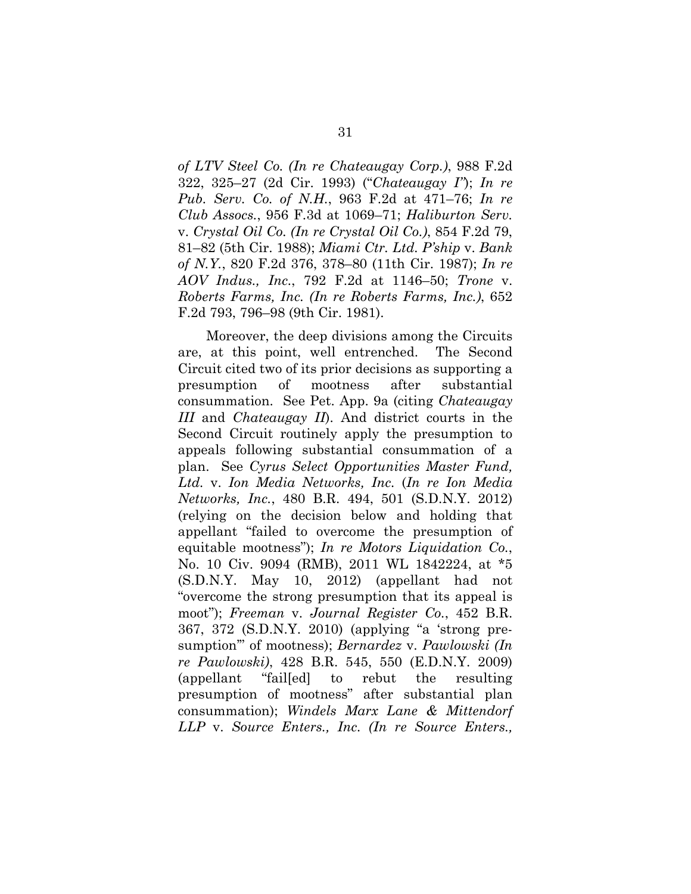*of LTV Steel Co. (In re Chateaugay Corp.)*, 988 F.2d 322, 325–27 (2d Cir. 1993) ("*Chateaugay I"*); *In re Pub. Serv. Co. of N.H.*, 963 F.2d at 471–76; *In re Club Assocs.*, 956 F.3d at 1069–71; *Haliburton Serv.* v. *Crystal Oil Co. (In re Crystal Oil Co.)*, 854 F.2d 79, 81–82 (5th Cir. 1988); *Miami Ctr. Ltd. P'ship* v. *Bank of N.Y.*, 820 F.2d 376, 378–80 (11th Cir. 1987); *In re AOV Indus., Inc.*, 792 F.2d at 1146–50; *Trone* v. *Roberts Farms, Inc. (In re Roberts Farms, Inc.)*, 652 F.2d 793, 796–98 (9th Cir. 1981).

Moreover, the deep divisions among the Circuits are, at this point, well entrenched. The Second Circuit cited two of its prior decisions as supporting a presumption of mootness after substantial consummation. See Pet. App. 9a (citing *Chateaugay III* and *Chateaugay II*). And district courts in the Second Circuit routinely apply the presumption to appeals following substantial consummation of a plan. See *Cyrus Select Opportunities Master Fund, Ltd.* v. *Ion Media Networks, Inc.* (*In re Ion Media Networks, Inc.*, 480 B.R. 494, 501 (S.D.N.Y. 2012) (relying on the decision below and holding that appellant "failed to overcome the presumption of equitable mootness"); *In re Motors Liquidation Co.*, No. 10 Civ. 9094 (RMB), 2011 WL 1842224, at \*5 (S.D.N.Y. May 10, 2012) (appellant had not "overcome the strong presumption that its appeal is moot"); *Freeman* v. *Journal Register Co.*, 452 B.R. 367, 372 (S.D.N.Y. 2010) (applying "a 'strong presumption'" of mootness); *Bernardez* v. *Pawlowski (In re Pawlowski)*, 428 B.R. 545, 550 (E.D.N.Y. 2009) (appellant "fail[ed] to rebut the resulting presumption of mootness" after substantial plan consummation); *Windels Marx Lane & Mittendorf LLP* v. *Source Enters., Inc. (In re Source Enters.,*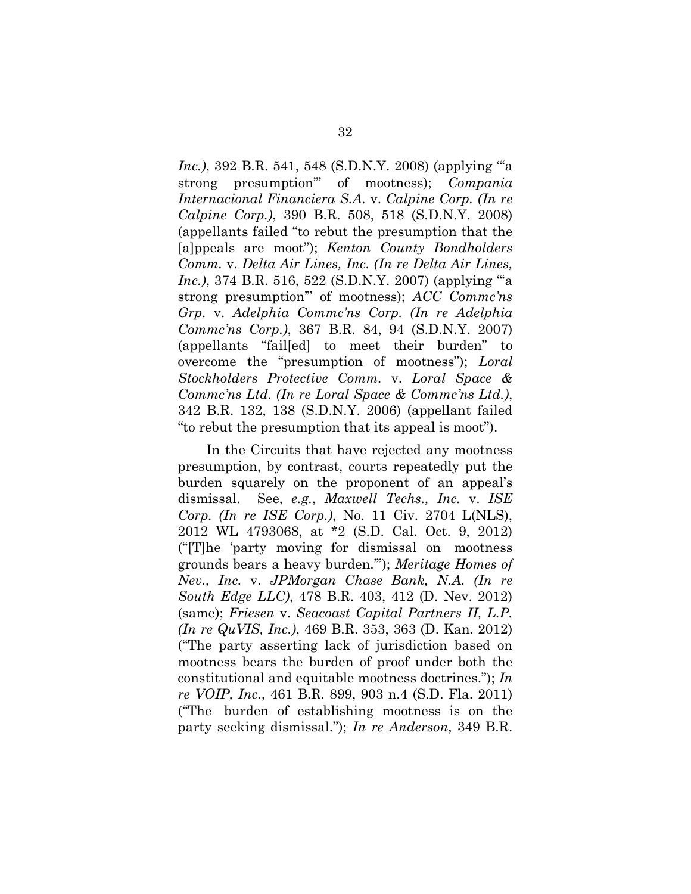*Inc.)*, 392 B.R. 541, 548 (S.D.N.Y. 2008) (applying "'a strong presumption'" of mootness); *Compania Internacional Financiera S.A.* v. *Calpine Corp. (In re Calpine Corp.)*, 390 B.R. 508, 518 (S.D.N.Y. 2008) (appellants failed "to rebut the presumption that the [a]ppeals are moot"); *Kenton County Bondholders Comm.* v. *Delta Air Lines, Inc. (In re Delta Air Lines, Inc.*), 374 B.R. 516, 522 (S.D.N.Y. 2007) (applying ""a strong presumption'" of mootness); *ACC Commc'ns Grp.* v. *Adelphia Commc'ns Corp. (In re Adelphia Commc'ns Corp.)*, 367 B.R. 84, 94 (S.D.N.Y. 2007) (appellants "fail[ed] to meet their burden" to overcome the "presumption of mootness"); *Loral Stockholders Protective Comm.* v. *Loral Space & Commc'ns Ltd. (In re Loral Space & Commc'ns Ltd.)*, 342 B.R. 132, 138 (S.D.N.Y. 2006) (appellant failed "to rebut the presumption that its appeal is moot").

In the Circuits that have rejected any mootness presumption, by contrast, courts repeatedly put the burden squarely on the proponent of an appeal's dismissal. See, *e.g.*, *Maxwell Techs., Inc.* v. *ISE Corp. (In re ISE Corp.)*, No. 11 Civ. 2704 L(NLS), 2012 WL 4793068, at \*2 (S.D. Cal. Oct. 9, 2012) ("[T]he 'party moving for dismissal on mootness grounds bears a heavy burden.'"); *Meritage Homes of Nev., Inc.* v. *JPMorgan Chase Bank, N.A. (In re South Edge LLC)*, 478 B.R. 403, 412 (D. Nev. 2012) (same); *Friesen* v. *Seacoast Capital Partners II, L.P. (In re QuVIS, Inc.)*, 469 B.R. 353, 363 (D. Kan. 2012) ("The party asserting lack of jurisdiction based on mootness bears the burden of proof under both the constitutional and equitable mootness doctrines."); *In re VOIP, Inc.*, 461 B.R. 899, 903 n.4 (S.D. Fla. 2011) ("The burden of establishing mootness is on the party seeking dismissal."); *In re Anderson*, 349 B.R.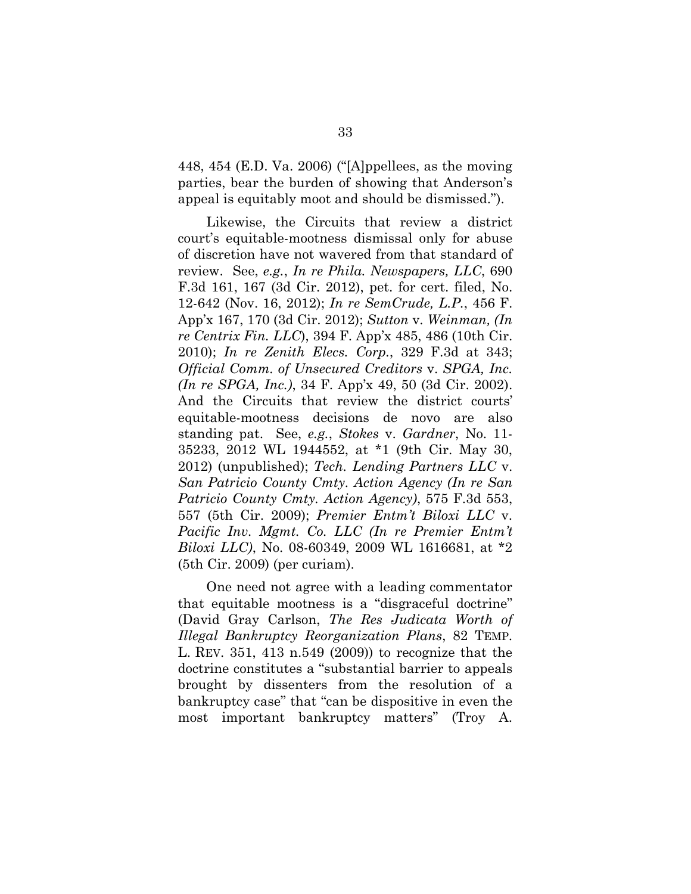448, 454 (E.D. Va. 2006) ("[A]ppellees, as the moving parties, bear the burden of showing that Anderson's appeal is equitably moot and should be dismissed.").

Likewise, the Circuits that review a district court's equitable-mootness dismissal only for abuse of discretion have not wavered from that standard of review. See, *e.g.*, *In re Phila. Newspapers, LLC*, 690 F.3d 161, 167 (3d Cir. 2012), pet. for cert. filed, No. 12-642 (Nov. 16, 2012); *In re SemCrude, L.P.*, 456 F. App'x 167, 170 (3d Cir. 2012); *Sutton* v. *Weinman, (In re Centrix Fin. LLC*), 394 F. App'x 485, 486 (10th Cir. 2010); *In re Zenith Elecs. Corp.*, 329 F.3d at 343; *Official Comm. of Unsecured Creditors* v. *SPGA, Inc. (In re SPGA, Inc.)*, 34 F. App'x 49, 50 (3d Cir. 2002). And the Circuits that review the district courts' equitable-mootness decisions de novo are also standing pat. See, *e.g.*, *Stokes* v. *Gardner*, No. 11- 35233, 2012 WL 1944552, at \*1 (9th Cir. May 30, 2012) (unpublished); *Tech. Lending Partners LLC* v. *San Patricio County Cmty. Action Agency (In re San Patricio County Cmty. Action Agency)*, 575 F.3d 553, 557 (5th Cir. 2009); *Premier Entm't Biloxi LLC* v. *Pacific Inv. Mgmt. Co. LLC (In re Premier Entm't Biloxi LLC)*, No. 08-60349, 2009 WL 1616681, at \*2 (5th Cir. 2009) (per curiam).

One need not agree with a leading commentator that equitable mootness is a "disgraceful doctrine" (David Gray Carlson, *The Res Judicata Worth of Illegal Bankruptcy Reorganization Plans*, 82 TEMP. L. REV. 351, 413 n.549 (2009)) to recognize that the doctrine constitutes a "substantial barrier to appeals brought by dissenters from the resolution of a bankruptcy case" that "can be dispositive in even the most important bankruptcy matters" (Troy A.